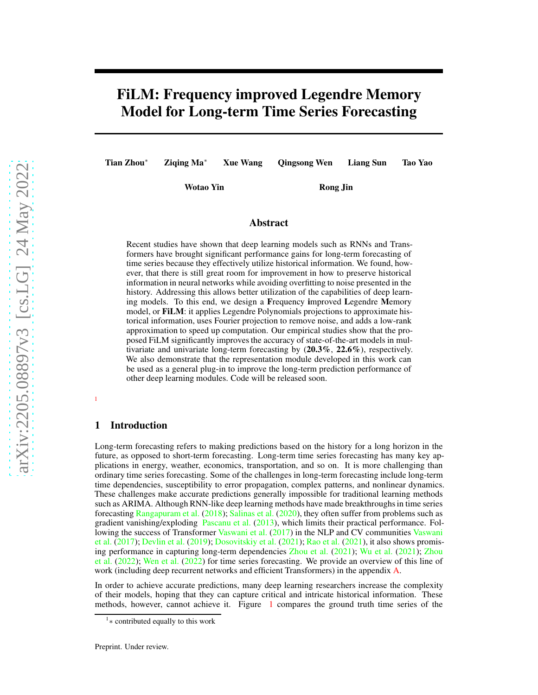# FiLM: Frequency improved Legendre Memory Model for Long-term Time Series Forecasting

Tian Zhou<sup>∗</sup> Ziqing Ma<sup>∗</sup> Xue Wang Qingsong Wen Liang Sun Tao Yao

Wotao Yin Rong Jin

# Abstract

Recent studies have shown that deep learning models such as RNNs and Transformers have brought significant performance gains for long-term forecasting of time series because they effectively utilize historical information. We found, however, that there is still great room for improvement in how to preserve historical information in neural networks while avoiding overfitting to noise presented in the history. Addressing this allows better utilization of the capabilities of deep learning models. To this end, we design a Frequency improved Legendre Memory model, or FiLM: it applies Legendre Polynomials projections to approximate historical information, uses Fourier projection to remove noise, and adds a low-rank approximation to speed up computation. Our empirical studies show that the proposed FiLM significantly improves the accuracy of state-of-the-art models in multivariate and univariate long-term forecasting by (20.3%, 22.6%), respectively. We also demonstrate that the representation module developed in this work can be used as a general plug-in to improve the long-term prediction performance of other deep learning modules. Code will be released soon.

### <span id="page-0-1"></span>[1](#page-0-0)

### 1 Introduction

Long-term forecasting refers to making predictions based on the history for a long horizon in the future, as opposed to short-term forecasting. Long-term time series forecasting has many key applications in energy, weather, economics, transportation, and so on. It is more challenging than ordinary time series forecasting. Some of the challenges in long-term forecasting include long-term time dependencies, susceptibility to error propagation, complex patterns, and nonlinear dynamics. These challenges make accurate predictions generally impossible for traditional learning methods such as ARIMA. Although RNN-like deep learning methods have made breakthroughs in time series forecasting [Rangapuram et al.](#page-11-0) [\(2018](#page-11-0)); Salinas et al. (2020), they often suffer from problems such as gradient vanishing/exploding Pascanu et al. (2013), which limits their practical performance. Fol-lowing the success of Transformer [Vaswani et al.](#page-11-1) [\(2017\) in the NLP and CV communities](#page-11-1) Vaswani et al. [\(2017](#page-11-1)); Devlin et al. (2019); Dosovitskiy et al. (2021); [Rao et al.](#page-11-2) [\(2021\)](#page-11-2), it also shows promising [performance in capturing long-term dependencies](#page-12-1) [Zhou et al.](#page-12-0) [\(2021\)](#page-12-0); [Wu et al.](#page-11-3) [\(2021\)](#page-11-3); Zhou et al. [\(2022](#page-12-1)); [Wen et al.](#page-11-4) [\(2022](#page-11-4)) for time series forecasting. We provide an overview of this line of work (including deep recurrent networks and efficient Transformers) in the appendix [A.](#page-13-0)

In order to achieve accurate predictions, many deep learning researchers increase the complexity of their models, hoping that they can capture critical and intricate historical information. These methods, however, cannot achieve it. Figure [1](#page-1-0) compares the ground truth time series of the

<span id="page-0-0"></span><sup>1</sup> ∗ contributed equally to this work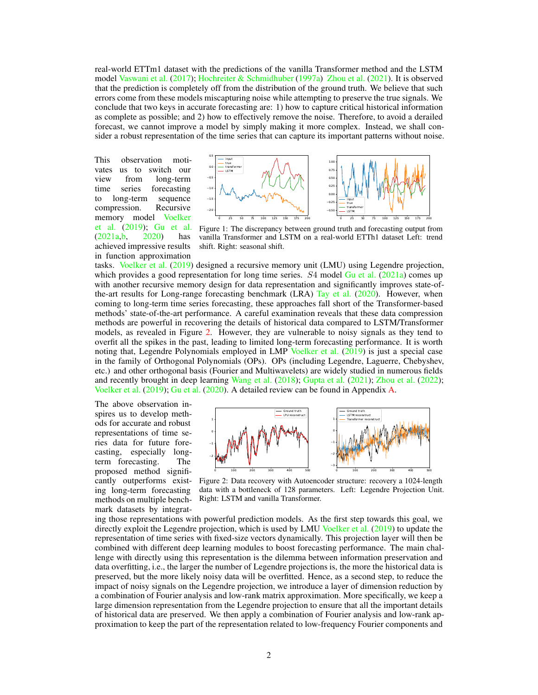real-world ETTm1 dataset with the predictions of the vanilla Transformer method and the LSTM model [Vaswani et al.](#page-11-1) [\(2017](#page-11-1)); [Hochreiter & Schmidhuber](#page-10-0) [\(1997a](#page-10-0)) [Zhou et al.](#page-12-0) [\(2021\)](#page-12-0). It is observed that the prediction is completely off from the distribution of the ground truth. We believe that such errors come from these models miscapturing noise while attempting to preserve the true signals. We conclude that two keys in accurate forecasting are: 1) how to capture critical historical information as complete as possible; and 2) how to effectively remove the noise. Therefore, to avoid a derailed forecast, we cannot improve a model by simply making it more complex. Instead, we shall consider a robust representation of the time series that can capture its important patterns without noise.

This observation motivates us to switch our view from long-term time series forecasting to long-term sequence compression. Recursive mem[ory model](#page-11-5) Voelker et al. [\(2019](#page-11-5)); [Gu et al.](#page-10-1) [\(2021a](#page-10-1)[,b](#page-10-2), [2020](#page-10-3)) has achieved impressive results in function approximation

<span id="page-1-0"></span>

Figure 1: The discrepancy between ground truth and forecasting output from vanilla Transformer and LSTM on a real-world ETTh1 dataset Left: trend shift. Right: seasonal shift.

tasks. [Voelker et al.](#page-11-5) [\(2019\)](#page-11-5) designed a recursive memory unit (LMU) using Legendre projection, which provides a good representation for long time series.  $S4$  model [Gu et al.](#page-10-1) [\(2021a](#page-10-1)) comes up with another recursive memory design for data representation and significantly improves state-of-the-art results for Long-range forecasting benchmark (LRA) [Tay et al.](#page-11-6)  $(2020)$  $(2020)$ . However, when coming to long-term time series forecasting, these approaches fall short of the Transformer-based methods' state-of-the-art performance. A careful examination reveals that these data compression methods are powerful in recovering the details of historical data compared to LSTM/Transformer models, as revealed in Figure [2.](#page-1-1) However, they are vulnerable to noisy signals as they tend to overfit all the spikes in the past, leading to limited long-term forecasting performance. It is worth noting that, Legendre Polynomials employed in LMP [Voelker et al.](#page-11-5) [\(2019\)](#page-11-5) is just a special case in the family of Orthogonal Polynomials (OPs). OPs (including Legendre, Laguerre, Chebyshev, etc.) and other orthogonal basis (Fourier and Multiwavelets) are widely studied in numerous fields and recently brought in deep learning [Wang et al.](#page-11-7) [\(2018](#page-11-7)); [Gupta et al.](#page-10-4) [\(2021](#page-10-4)); [Zhou et al.](#page-12-1) [\(2022\)](#page-12-1); [Voelker et al.](#page-11-5) [\(2019](#page-11-5)); [Gu et al.](#page-10-3) [\(2020\)](#page-10-3). A detailed review can be found in Appendix [A.](#page-13-0)

The above observation inspires us to develop methods for accurate and robust representations of time series data for future forecasting, especially longterm forecasting. The proposed method significantly outperforms existing long-term forecasting methods on multiple benchmark datasets by integrat-

<span id="page-1-1"></span>

Figure 2: Data recovery with Autoencoder structure: recovery a 1024-length data with a bottleneck of 128 parameters. Left: Legendre Projection Unit. Right: LSTM and vanilla Transformer.

ing those representations with powerful prediction models. As the first step towards this goal, we directly exploit the Legendre projection, which is used by LMU [Voelker et al.](#page-11-5) [\(2019](#page-11-5)) to update the representation of time series with fixed-size vectors dynamically. This projection layer will then be combined with different deep learning modules to boost forecasting performance. The main challenge with directly using this representation is the dilemma between information preservation and data overfitting, i.e., the larger the number of Legendre projections is, the more the historical data is preserved, but the more likely noisy data will be overfitted. Hence, as a second step, to reduce the impact of noisy signals on the Legendre projection, we introduce a layer of dimension reduction by a combination of Fourier analysis and low-rank matrix approximation. More specifically, we keep a large dimension representation from the Legendre projection to ensure that all the important details of historical data are preserved. We then apply a combination of Fourier analysis and low-rank approximation to keep the part of the representation related to low-frequency Fourier components and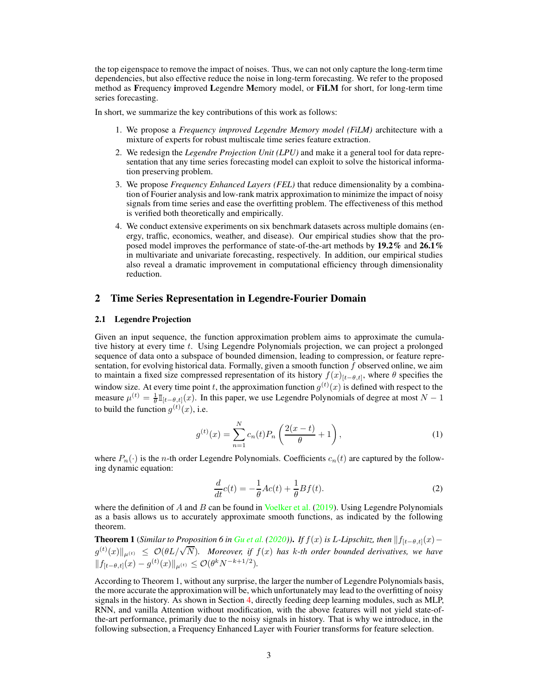the top eigenspace to remove the impact of noises. Thus, we can not only capture the long-term time dependencies, but also effective reduce the noise in long-term forecasting. We refer to the proposed method as Frequency improved Legendre Memory model, or FiLM for short, for long-term time series forecasting.

In short, we summarize the key contributions of this work as follows:

- 1. We propose a *Frequency improved Legendre Memory model (FiLM)* architecture with a mixture of experts for robust multiscale time series feature extraction.
- 2. We redesign the *Legendre Projection Unit (LPU)* and make it a general tool for data representation that any time series forecasting model can exploit to solve the historical information preserving problem.
- 3. We propose *Frequency Enhanced Layers (FEL)* that reduce dimensionality by a combination of Fourier analysis and low-rank matrix approximation to minimize the impact of noisy signals from time series and ease the overfitting problem. The effectiveness of this method is verified both theoretically and empirically.
- 4. We conduct extensive experiments on six benchmark datasets across multiple domains (energy, traffic, economics, weather, and disease). Our empirical studies show that the proposed model improves the performance of state-of-the-art methods by 19.2% and 26.1% in multivariate and univariate forecasting, respectively. In addition, our empirical studies also reveal a dramatic improvement in computational efficiency through dimensionality reduction.

### 2 Time Series Representation in Legendre-Fourier Domain

#### 2.1 Legendre Projection

Given an input sequence, the function approximation problem aims to approximate the cumulative history at every time  $t$ . Using Legendre Polynomials projection, we can project a prolonged sequence of data onto a subspace of bounded dimension, leading to compression, or feature representation, for evolving historical data. Formally, given a smooth function  $f$  observed online, we aim to maintain a fixed size compressed representation of its history  $f(x)_{[t-\theta,t]}$ , where  $\theta$  specifies the window size. At every time point t, the approximation function  $g^{(t)}(x)$  is defined with respect to the measure  $\mu^{(t)} = \frac{1}{\theta} \mathbb{I}_{[t-\theta,t]}(x)$ . In this paper, we use Legendre Polynomials of degree at most  $N-1$ to build the function  $g^{(t)}(x)$ , i.e.

$$
g^{(t)}(x) = \sum_{n=1}^{N} c_n(t) P_n \left( \frac{2(x-t)}{\theta} + 1 \right), \tag{1}
$$

where  $P_n(\cdot)$  is the *n*-th order Legendre Polynomials. Coefficients  $c_n(t)$  are captured by the following dynamic equation:

<span id="page-2-0"></span>
$$
\frac{d}{dt}c(t) = -\frac{1}{\theta}Ac(t) + \frac{1}{\theta}Bf(t).
$$
\n(2)

where the definition of  $A$  and  $B$  can be found in [Voelker et al.](#page-11-5) [\(2019\)](#page-11-5). Using Legendre Polynomials as a basis allows us to accurately approximate smooth functions, as indicated by the following theorem.

**Theorem 1** (*Similar to Proposition 6 in [Gu et al.](#page-10-3)*  $(2020)$  $(2020)$ ). *If*  $f(x)$  *is L-Lipschitz, then*  $||f_{[t−θ,t]}(x)−$  $g^{(t)}(x)\|_{\mu^{(t)}} \leq \mathcal{O}(\theta L/\sqrt{N})$ . Moreover, if  $f(x)$  has k-th order bounded derivatives, we have  $|| f_{[t-\theta,t]}(x) - g^{(t)}(x) ||_{\mu^{(t)}} \leq \mathcal{O}(\theta^k N^{-k+1/2}).$ 

According to Theorem 1, without any surprise, the larger the number of Legendre Polynomials basis, the more accurate the approximation will be, which unfortunately may lead to the overfitting of noisy signals in the history. As shown in Section [4,](#page-5-0) directly feeding deep learning modules, such as MLP, RNN, and vanilla Attention without modification, with the above features will not yield state-ofthe-art performance, primarily due to the noisy signals in history. That is why we introduce, in the following subsection, a Frequency Enhanced Layer with Fourier transforms for feature selection.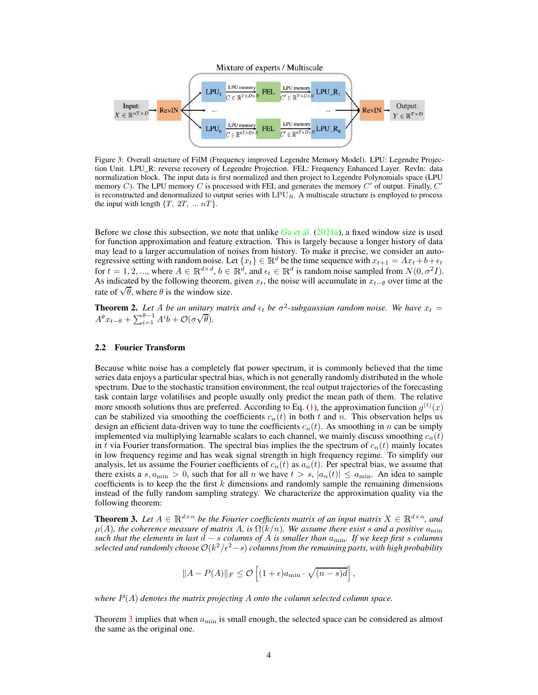<span id="page-3-1"></span>

Figure 3: Overall structure of FilM (Frequency improved Legendre Memory Model). LPU: Legendre Projection Unit. LPU\_R: reverse recovery of Legendre Projection. FEL: Frequency Enhanced Layer. RevIn: data normalization block. The input data is first normalized and then project to Legendre Polynomials space (LPU memory C). The LPU memory C is processed with FEL and generates the memory C' of output. Finally,  $C'$ is reconstructed and denormalized to output series with  $LPU<sub>R</sub>$ . A multiscale structure is employed to process the input with length  $\{T, 2T, \dots nT\}$ .

Before we close this subsection, we note that unlike  $Gu$  et al. [\(2021a](#page-10-1)), a fixed window size is used for function approximation and feature extraction. This is largely because a longer history of data may lead to a larger accumulation of noises from history. To make it precise, we consider an autoregressive setting with random noise. Let  $\{x_t\} \in \mathbb{R}^d$  be the time sequence with  $x_{t+1} = Ax_t + b + \epsilon_t$ for  $t = 1, 2, ...,$  where  $A \in \mathbb{R}^{d \times d}$ ,  $b \in \mathbb{R}^d$ , and  $\epsilon_t \in \mathbb{R}^d$  is random noise sampled from  $N(0, \sigma^2 I)$ . As indicated by the following theorem, given  $x_t$ , the noise will accumulate in  $x_{t-θ}$  over time at the rate of  $\sqrt{\theta}$ , where  $\theta$  is the window size.

**Theorem 2.** Let A be an unitary matrix and  $\epsilon_t$  be  $\sigma^2$ -subgaussian random noise. We have  $x_t =$  $A^{\theta}x_{t-\theta} + \sum_{i=1}^{\theta-1} A^i b + \mathcal{O}(\sigma\sqrt{\theta}).$ 

## 2.2 Fourier Transform

Because white noise has a completely flat power spectrum, it is commonly believed that the time series data enjoys a particular spectral bias, which is not generally randomly distributed in the whole spectrum. Due to the stochastic transition environment, the real output trajectories of the forecasting task contain large volatilises and people usually only predict the mean path of them. The relative more smooth solutions thus are preferred. According to Eq. [\(1\)](#page-2-0), the approximation function  $g^{(t)}(x)$ can be stabilized via smoothing the coefficients  $c_n(t)$  in both t and n. This observation helps us design an efficient data-driven way to tune the coefficients  $c_n(t)$ . As smoothing in n can be simply implemented via multiplying learnable scalars to each channel, we mainly discuss smoothing  $c_n(t)$ in t via Fourier transformation. The spectral bias implies the the spectrum of  $c_n(t)$  mainly locates in low frequency regime and has weak signal strength in high frequency regime. To simplify our analysis, let us assume the Fourier coefficients of  $c_n(t)$  as  $a_n(t)$ . Per spectral bias, we assume that there exists a s,  $a_{\min} > 0$ , such that for all n we have  $t > s$ ,  $|a_n(t)| \le a_{\min}$ . An idea to sample coefficients is to keep the the first  $k$  dimensions and randomly sample the remaining dimensions instead of the fully random sampling strategy. We characterize the approximation quality via the following theorem:

<span id="page-3-0"></span>**Theorem 3.** Let  $A \in \mathbb{R}^{d \times n}$  be the Fourier coefficients matrix of an input matrix  $X \in \mathbb{R}^{d \times n}$ , and  $\mu(A)$ , the coherence measure of matrix A, is  $\Omega(k/n)$ . We assume there exist s and a positive  $a_{\min}$ *such that the elements in last*  $d - s$  *columns of*  $\overline{A}$  *is smaller than*  $a_{\min}$ *. If we keep first s columns*  $s^{e}$  *selected and randomly choose*  $\mathcal{O}(k^2/\epsilon^2 - s)$  *columns from the remaining parts, with high probability* 

$$
||A - P(A)||_F \le \mathcal{O}\left[(1+\epsilon)a_{\min} \cdot \sqrt{(n-s)d}\right],
$$

*where* P(A) *denotes the matrix projecting* A *onto the column selected column space.*

Theorem [3](#page-3-0) implies that when  $a_{\min}$  is small enough, the selected space can be considered as almost the same as the original one.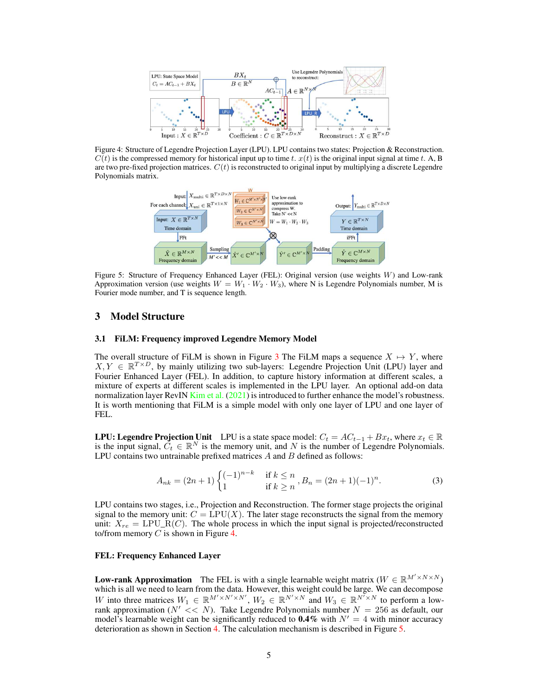<span id="page-4-0"></span>

<span id="page-4-1"></span>Figure 4: Structure of Legendre Projection Layer (LPU). LPU contains two states: Projection & Reconstruction.  $C(t)$  is the compressed memory for historical input up to time t.  $x(t)$  is the original input signal at time t. A, B are two pre-fixed projection matrices.  $C(t)$  is reconstructed to original input by multiplying a discrete Legendre Polynomials matrix.



Figure 5: Structure of Frequency Enhanced Layer (FEL): Original version (use weights W) and Low-rank Approximation version (use weights  $W = W_1 \cdot W_2 \cdot W_3$ ), where N is Legendre Polynomials number, M is Fourier mode number, and T is sequence length.

### 3 Model Structure

#### 3.1 FiLM: Frequency improved Legendre Memory Model

The overall structure of FiLM is shown in Figure [3](#page-3-1) The FiLM maps a sequence  $X \mapsto Y$ , where  $X, Y \in \mathbb{R}^{T \times D}$ , by mainly utilizing two sub-layers: Legendre Projection Unit (LPU) layer and Fourier Enhanced Layer (FEL). In addition, to capture history information at different scales, a mixture of experts at different scales is implemented in the LPU layer. An optional add-on data normalization layer RevIN [Kim et al.](#page-10-5) [\(2021\)](#page-10-5) is introduced to further enhance the model's robustness. It is worth mentioning that FiLM is a simple model with only one layer of LPU and one layer of FEL.

**LPU: Legendre Projection Unit** LPU is a state space model:  $C_t = AC_{t-1} + Bx_t$ , where  $x_t \in \mathbb{R}$ is the input signal,  $C_t \in \mathbb{R}^N$  is the memory unit, and N is the number of Legendre Polynomials. LPU contains two untrainable prefixed matrices  $A$  and  $B$  defined as follows:

$$
A_{nk} = (2n+1) \begin{cases} (-1)^{n-k} & \text{if } k \le n \\ 1 & \text{if } k \ge n \end{cases}, B_n = (2n+1)(-1)^n. \tag{3}
$$

LPU contains two stages, i.e., Projection and Reconstruction. The former stage projects the original signal to the memory unit:  $C = \text{LPU}(X)$ . The later stage reconstructs the signal from the memory unit:  $X_{re} = \text{LPU\_R}(C)$ . The whole process in which the input signal is projected/reconstructed to/from memory  $C$  is shown in Figure [4.](#page-4-0)

### FEL: Frequency Enhanced Layer

**Low-rank Approximation** The FEL is with a single learnable weight matrix  $(W \in \mathbb{R}^{M' \times N \times N})$ which is all we need to learn from the data. However, this weight could be large. We can decompose W into three matrices  $W_1 \in \mathbb{R}^{M' \times N' \times N'}$ ,  $W_2 \in \mathbb{R}^{N' \times N}$  and  $W_3 \in \mathbb{R}^{N' \times N}$  to perform a lowrank approximation ( $N' << N$ ). Take Legendre Polynomials number  $N = 256$  as default, our model's learnable weight can be significantly reduced to  $0.4\%$  with  $N' = 4$  with minor accuracy deterioration as shown in Section [4.](#page-5-0) The calculation mechanism is described in Figure [5.](#page-4-1)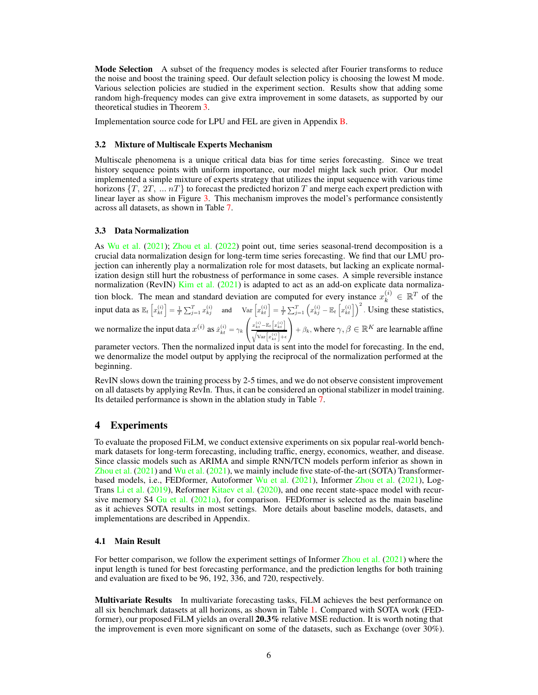**Mode Selection** A subset of the frequency modes is selected after Fourier transforms to reduce the noise and boost the training speed. Our default selection policy is choosing the lowest M mode. Various selection policies are studied in the experiment section. Results show that adding some random high-frequency modes can give extra improvement in some datasets, as supported by our theoretical studies in Theorem [3.](#page-3-0)

Implementation source code for LPU and FEL are given in Appendix [B.](#page-13-1)

#### 3.2 Mixture of Multiscale Experts Mechanism

Multiscale phenomena is a unique critical data bias for time series forecasting. Since we treat history sequence points with uniform importance, our model might lack such prior. Our model implemented a simple mixture of experts strategy that utilizes the input sequence with various time horizons  $\{T, 2T, \ldots nT\}$  to forecast the predicted horizon T and merge each expert prediction with linear layer as show in Figure [3.](#page-3-1) This mechanism improves the model's performance consistently across all datasets, as shown in Table [7.](#page-8-0)

#### 3.3 Data Normalization

As [Wu et al.](#page-11-3) [\(2021](#page-11-3)); [Zhou et al.](#page-12-1) [\(2022\)](#page-12-1) point out, time series seasonal-trend decomposition is a crucial data normalization design for long-term time series forecasting. We find that our LMU projection can inherently play a normalization role for most datasets, but lacking an explicate normalization design still hurt the robustness of performance in some cases. A simple reversible instance normalization (RevIN) [Kim et al.](#page-10-5) [\(2021](#page-10-5)) is adapted to act as an add-on explicate data normalization block. The mean and standard deviation are computed for every instance  $x_k^{(i)} \in \mathbb{R}^T$  of the input data as  $\mathbb{E}_t\left[x_{kt}^{(i)}\right] = \frac{1}{T} \sum_{j=1}^T x_{kj}^{(i)}$  and  $\text{Var}\left[x_{kt}^{(i)}\right] = \frac{1}{T} \sum_{j=1}^T \left(x_{kj}^{(i)} - \mathbb{E}_t\left[x_{kt}^{(i)}\right]\right)^2$ . Using these statistics, we normalize the input data  $x^{(i)}$  as  $\hat{x}^{(i)}_{kt} = \gamma_k$  $\sqrt{2}$  $\mathcal{L}$  $x_{kt}^{(i)}$  –  $\mathbb{E}_t\left[x_{kt}^{(i)}\right]$  $\sqrt{\text{Var}\big[x_{kt}^{(i)}\big] + \epsilon}$  $+ \beta_k$ , where  $\gamma, \beta \in \mathbb{R}^K$  are learnable affine

parameter vectors. Then the normalized input data is sent into the model for forecasting. In the end, we denormalize the model output by applying the reciprocal of the normalization performed at the beginning.

RevIN slows down the training process by 2-5 times, and we do not observe consistent improvement on all datasets by applying RevIn. Thus, it can be considered an optional stabilizer in model training. Its detailed performance is shown in the ablation study in Table [7.](#page-8-0)

### <span id="page-5-0"></span>4 Experiments

To evaluate the proposed FiLM, we conduct extensive experiments on six popular real-world benchmark datasets for long-term forecasting, including traffic, energy, economics, weather, and disease. Since classic models such as ARIMA and simple RNN/TCN models perform inferior as shown in [Zhou et al.](#page-12-0) [\(2021\)](#page-12-0) and [Wu et al.](#page-11-3) [\(2021\)](#page-11-3), we mainly include five state-of-the-art (SOTA) Transformerbased models, i.e., FEDformer, Autoformer [Wu et al.](#page-11-3) [\(2021\)](#page-11-3), Informer [Zhou et al.](#page-12-0) [\(2021\)](#page-12-0), Log-Trans [Li et al.](#page-10-6) [\(2019](#page-10-6)), Reformer Kitaev et al. (2020), and one recent state-space model with recursive memory  $S4$  [Gu et al.](#page-10-1) [\(2021a\)](#page-10-1), for comparison. FEDformer is selected as the main baseline as it achieves SOTA results in most settings. More details about baseline models, datasets, and implementations are described in Appendix.

#### 4.1 Main Result

For better comparison, we follow the experiment settings of Informer [Zhou et al.](#page-12-0) [\(2021](#page-12-0)) where the input length is tuned for best forecasting performance, and the prediction lengths for both training and evaluation are fixed to be 96, 192, 336, and 720, respectively.

Multivariate Results In multivariate forecasting tasks, FiLM achieves the best performance on all six benchmark datasets at all horizons, as shown in Table [1.](#page-6-0) Compared with SOTA work (FEDformer), our proposed FiLM yields an overall 20.3% relative MSE reduction. It is worth noting that the improvement is even more significant on some of the datasets, such as Exchange (over 30%).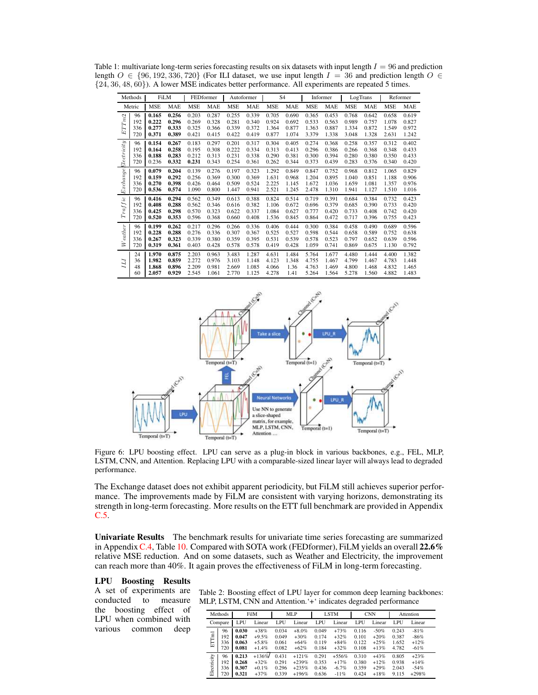<span id="page-6-0"></span>

| Table 1: multivariate long-term series forecasting results on six datasets with input length $I = 96$ and prediction |
|----------------------------------------------------------------------------------------------------------------------|
| length $O \in \{96, 192, 336, 720\}$ (For ILI dataset, we use input length $I = 36$ and prediction length $O \in$    |
| $\{24, 36, 48, 60\}$ ). A lower MSE indicates better performance. All experiments are repeated 5 times.              |

|             | Methods | <b>FiLM</b> |            |            | FEDformer  |            | Autoformer |            | S4         |            | Informer   |            | LogTrans   |            | Reformer   |
|-------------|---------|-------------|------------|------------|------------|------------|------------|------------|------------|------------|------------|------------|------------|------------|------------|
|             | Metric  | <b>MSE</b>  | <b>MAE</b> | <b>MSE</b> | <b>MAE</b> | <b>MSE</b> | <b>MAE</b> | <b>MSE</b> | <b>MAE</b> | <b>MSE</b> | <b>MAE</b> | <b>MSE</b> | <b>MAE</b> | <b>MSE</b> | <b>MAE</b> |
| $ETTm2$     | 96      | 0.165       | 0.256      | 0.203      | 0.287      | 0.255      | 0.339      | 0.705      | 0.690      | 0.365      | 0.453      | 0.768      | 0.642      | 0.658      | 0.619      |
|             | 192     | 0.222       | 0.296      | 0.269      | 0.328      | 0.281      | 0.340      | 0.924      | 0.692      | 0.533      | 0.563      | 0.989      | 0.757      | 1.078      | 0.827      |
|             | 336     | 0.277       | 0.333      | 0.325      | 0.366      | 0.339      | 0.372      | 1.364      | 0.877      | 1.363      | 0.887      | 1.334      | 0.872      | 1.549      | 0.972      |
|             | 720     | 0.371       | 0.389      | 0.421      | 0.415      | 0.422      | 0.419      | 0.877      | 1.074      | 3.379      | 1.338      | 3.048      | 1.328      | 2.631      | 1.242      |
| $lectivity$ | 96      | 0.154       | 0.267      | 0.183      | 0.297      | 0.201      | 0.317      | 0.304      | 0.405      | 0.274      | 0.368      | 0.258      | 0.357      | 0.312      | 0.402      |
|             | 192     | 0.164       | 0.258      | 0.195      | 0.308      | 0.222      | 0.334      | 0.313      | 0.413      | 0.296      | 0.386      | 0.266      | 0.368      | 0.348      | 0.433      |
|             | 336     | 0.188       | 0.283      | 0.212      | 0.313      | 0.231      | 0.338      | 0.290      | 0.381      | 0.300      | 0.394      | 0.280      | 0.380      | 0.350      | 0.433      |
|             | 720     | 0.236       | 0.332      | 0.231      | 0.343      | 0.254      | 0.361      | 0.262      | 0.344      | 0.373      | 0.439      | 0.283      | 0.376      | 0.340      | 0.420      |
| Exchange.   | 96      | 0.079       | 0.204      | 0.139      | 0.276      | 0.197      | 0.323      | 1.292      | 0.849      | 0.847      | 0.752      | 0.968      | 0.812      | 1.065      | 0.829      |
|             | 192     | 0.159       | 0.292      | 0.256      | 0.369      | 0.300      | 0.369      | 1.631      | 0.968      | 1.204      | 0.895      | 1.040      | 0.851      | 1.188      | 0.906      |
|             | 336     | 0.270       | 0.398      | 0.426      | 0.464      | 0.509      | 0.524      | 2.225      | 1.145      | 1.672      | 1.036      | 1.659      | 1.081      | 1.357      | 0.976      |
|             | 720     | 0.536       | 0.574      | 1.090      | 0.800      | 1.447      | 0.941      | 2.521      | 1.245      | 2.478      | 1.310      | 1.941      | 1.127      | 1.510      | 1.016      |
| Traffic     | 96      | 0.416       | 0.294      | 0.562      | 0.349      | 0.613      | 0.388      | 0.824      | 0.514      | 0.719      | 0.391      | 0.684      | 0.384      | 0.732      | 0.423      |
|             | 192     | 0.408       | 0.288      | 0.562      | 0.346      | 0.616      | 0.382      | 1.106      | 0.672      | 0.696      | 0.379      | 0.685      | 0.390      | 0.733      | 0.420      |
|             | 336     | 0.425       | 0.298      | 0.570      | 0.323      | 0.622      | 0.337      | 1.084      | 0.627      | 0.777      | 0.420      | 0.733      | 0.408      | 0.742      | 0.420      |
|             | 720     | 0.520       | 0.353      | 0.596      | 0.368      | 0.660      | 0.408      | 1.536      | 0.845      | 0.864      | 0.472      | 0.717      | 0.396      | 0.755      | 0.423      |
| Weather     | 96      | 0.199       | 0.262      | 0.217      | 0.296      | 0.266      | 0.336      | 0.406      | 0.444      | 0.300      | 0.384      | 0.458      | 0.490      | 0.689      | 0.596      |
|             | 192     | 0.228       | 0.288      | 0.276      | 0.336      | 0.307      | 0.367      | 0.525      | 0.527      | 0.598      | 0.544      | 0.658      | 0.589      | 0.752      | 0.638      |
|             | 336     | 0.267       | 0.323      | 0.339      | 0.380      | 0.359      | 0.395      | 0.531      | 0.539      | 0.578      | 0.523      | 0.797      | 0.652      | 0.639      | 0.596      |
|             | 720     | 0.319       | 0.361      | 0.403      | 0.428      | 0.578      | 0.578      | 0.419      | 0.428      | 1.059      | 0.741      | 0.869      | 0.675      | 1.130      | 0.792      |
| Ш           | 24      | 1.970       | 0.875      | 2.203      | 0.963      | 3.483      | 1.287      | 4.631      | 1.484      | 5.764      | 1.677      | 4.480      | 1.444      | 4.400      | 1.382      |
|             | 36      | 1.982       | 0.859      | 2.272      | 0.976      | 3.103      | 1.148      | 4.123      | 1.348      | 4.755      | 1.467      | 4.799      | 1.467      | 4.783      | 1.448      |
|             | 48      | 1.868       | 0.896      | 2.209      | 0.981      | 2.669      | 1.085      | 4.066      | 1.36       | 4.763      | 1.469      | 4.800      | 1.468      | 4.832      | 1.465      |
|             | 60      | 2.057       | 0.929      | 2.545      | 1.061      | 2.770      | 1.125      | 4.278      | 1.41       | 5.264      | 1.564      | 5.278      | 1.560      | 4.882      | 1.483      |

<span id="page-6-1"></span>

Figure 6: LPU boosting effect. LPU can serve as a plug-in block in various backbones, e.g., FEL, MLP, LSTM, CNN, and Attention. Replacing LPU with a comparable-sized linear layer will always lead to degraded performance.

The Exchange dataset does not exhibit apparent periodicity, but FiLM still achieves superior performance. The improvements made by FiLM are consistent with varying horizons, demonstrating its strength in long-term forecasting. More results on the ETT full benchmark are provided in Appendix [C.5.](#page-15-0)

Univariate Results The benchmark results for univariate time series forecasting are summarized in Appendix [C.4,](#page-15-1) Table [10.](#page-16-0) Compared with SOTA work (FEDformer), FiLM yields an overall  $22.6\%$ relative MSE reduction. And on some datasets, such as Weather and Electricity, the improvement can reach more than 40%. It again proves the effectiveness of FiLM in long-term forecasting.

### LPU Boosting Results

the boosting effect of LPU when combined with various common deep

A set of experiments are Table 2: Boosting effect of LPU layer for common deep learning backbones: conducted to measure MLP, LSTM, CNN and Attention.'+' indicates degraded performance

<span id="page-6-2"></span>

|             | Methods |       | FilM     | MLP   |          |       | <b>LSTM</b> |       | <b>CNN</b> |       | Attention |
|-------------|---------|-------|----------|-------|----------|-------|-------------|-------|------------|-------|-----------|
|             | Compare | LPU   | Linear   | LPU   | Linear   | LPU   | Linear      | LPU   | Linear     | LPU   | Linear    |
| ETTml       | 96      | 0.030 | $+38%$   | 0.034 | $+8.0\%$ | 0.049 | $+73%$      | 0.116 | $-50%$     | 0.243 | $-81%$    |
|             | 192     | 0.047 | $+9.5%$  | 0.049 | $+30%$   | 0.174 | $+32%$      | 0.101 | $+20%$     | 0.387 | $-86%$    |
|             | 336     | 0.063 | $+5.8%$  | 0.061 | $+64%$   | 0.119 | $+84%$      | 0.122 | $+25%$     | 1.652 | $+12%$    |
|             | 720     | 0.081 | $+1.4%$  | 0.082 | $+62%$   | 0.184 | $+32%$      | 0.108 | $+13%$     | 4.782 | $-61%$    |
| Electricity | 96      | 0.213 | $+136%$  | 0.431 | $+121%$  | 0.291 | $+556%$     | 0.310 | $+43%$     | 0.805 | $+23%$    |
|             | 192     | 0.268 | $+32%$   | 0.291 | $+239%$  | 0.353 | $+17%$      | 0.380 | $+12%$     | 0.938 | $+14%$    |
|             | 336     | 0.307 | $+0.1\%$ | 0.296 | $+235%$  | 0.436 | $-6.7%$     | 0.359 | $+29%$     | 2.043 | $-54%$    |
|             | 720     | 0.321 | $+37%$   | 0.339 | $+196%$  | 0.636 | $-11%$      | 0.424 | $+18%$     | 9.115 | $+298%$   |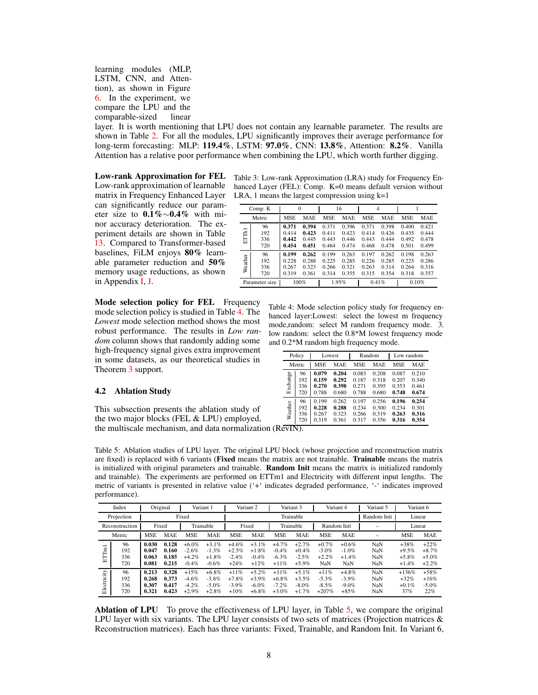### learning modules (MLP, LSTM, CNN, and Attention), as shown in Figure [6.](#page-6-1) In the experiment, we compare the LPU and the comparable-sized linear

layer. It is worth mentioning that LPU does not contain any learnable parameter. The results are shown in Table [2.](#page-6-2) For all the modules, LPU significantly improves their average performance for long-term forecasting: MLP: 119.4%, LSTM: 97.0%, CNN: 13.8%, Attention: 8.2%. Vanilla Attention has a relative poor performance when combining the LPU, which worth further digging.

Low-rank approximation of learnable matrix in Frequency Enhanced Layer can significantly reduce our parameter size to 0.1%∼0.4% with minor accuracy deterioration. The experiment details are shown in Table [13.](#page-16-1) Compared to Transformer-based baselines, FiLM enjoys 80% learnable parameter reduction and 50% memory usage reductions, as shown in Appendix [I,](#page-19-0) [J.](#page-19-1)

Mode selection policy for FEL Frequency mode selection policy is studied in Table [4.](#page-7-0) The *Lowest* mode selection method shows the most robust performance. The results in *Low random* column shows that randomly adding some high-frequency signal gives extra improvement in some datasets, as our theoretical studies in Theorem [3](#page-3-0) support.

#### 4.2 Ablation Study

This subsection presents the ablation study of the two major blocks (FEL & LPU) employed, the multiscale mechanism, and data normalization (RevIN).

Low-rank Approximation for FEL Table 3: Low-rank Approximation (LRA) study for Frequency Enhanced Layer (FEL): Comp. K=0 means default version without LRA, 1 means the largest compression using  $k=1$ 

|                | Comp. K                 |                                  | $\theta$                         |                                  | 16                               | $\overline{4}$                   |                                  |                                  |                                  |
|----------------|-------------------------|----------------------------------|----------------------------------|----------------------------------|----------------------------------|----------------------------------|----------------------------------|----------------------------------|----------------------------------|
|                | Metric                  | <b>MSE</b>                       | <b>MAE</b>                       | <b>MSE</b>                       | <b>MAE</b>                       | <b>MSE</b>                       | MAE                              | <b>MSE</b>                       | <b>MAE</b>                       |
| <b>ETTh1</b>   | 96<br>192<br>336<br>720 | 0.371<br>0.414<br>0.442<br>0.454 | 0.394<br>0.423<br>0.445<br>0.451 | 0.371<br>0.411<br>0.443<br>0.464 | 0.396<br>0.423<br>0.446<br>0.474 | 0.371<br>0.414<br>0.443<br>0.468 | 0.398<br>0.426<br>0.444<br>0.478 | 0.400<br>0.435<br>0.492<br>0.501 | 0.421<br>0.444<br>0.478<br>0.499 |
| Weather        | 96<br>192<br>336<br>720 | 0.199<br>0.228<br>0.267<br>0.319 | 0.262<br>0.288<br>0.323<br>0.361 | 0.199<br>0.225<br>0.266<br>0.314 |                                  | 0.197<br>0.226<br>0.263<br>0.315 | 0.262<br>0.285<br>0.314<br>0.354 | 0.198<br>0.225<br>0.264<br>0.318 | 0.263<br>0.286<br>0.316<br>0.357 |
| Parameter size |                         |                                  | 100%                             |                                  | 1.95%                            | 0.41%                            |                                  | 0.10%                            |                                  |

<span id="page-7-0"></span>Table 4: Mode selection policy study for frequency enhanced layer:Lowest: select the lowest m frequency mode,random: select M random frequency mode. 3. low random: select the 0.8\*M lowest frequency mode and 0.2\*M random high frequency mode.

|          | Policy |            | Lowest |       | Random |            | Low random |
|----------|--------|------------|--------|-------|--------|------------|------------|
|          | Metric | <b>MSE</b> | MAE    | MSE   | MAE    | <b>MSE</b> | <b>MAE</b> |
| Exchange | 96     | 0.079      | 0.204  | 0.083 | 0.208  | 0.087      | 0.210      |
|          | 192    | 0.159      | 0.292  | 0.187 | 0.318  | 0.207      | 0.340      |
|          | 336    | 0.270      | 0.398  | 0.271 | 0.395  | 0.353      | 0.461      |
|          | 720    | 0.788      | 0.680  | 0.788 | 0.680  | 0.748      | 0.674      |
| Weather  | 96     | 0.199      | 0.262  | 0.197 | 0.256  | 0.196      | 0.254      |
|          | 192    | 0.228      | 0.288  | 0.234 | 0.300  | 0.234      | 0.301      |
|          | 336    | 0.267      | 0.323  | 0.266 | 0.319  | 0.263      | 0.316      |
|          | 720    | 0.319      | 0.361  | 0.317 | 0.356  | 0.316      | 0.354      |

<span id="page-7-1"></span>Table 5: Ablation studies of LPU layer. The original LPU block (whose projection and reconstruction matrix are fixed) is replaced with 6 variants (**Fixed** means the matrix are not trainable. **Trainable** means the matrix is initialized with original parameters and trainable. **Random Init** means the matrix is initialized randomly and trainable). The experiments are performed on ETTm1 and Electricity with different input lengths. The metric of variants is presented in relative value ('+' indicates degraded performance, '-' indicates improved performance).

|             | Index                   |                                  | Original                         | Variant 1                                |                                            |                                         | Variant 2                                  |                                             | Variant 3                                  |                                           | Variant 4                                 | Variant 5                       |                                         | Variant 6                               |
|-------------|-------------------------|----------------------------------|----------------------------------|------------------------------------------|--------------------------------------------|-----------------------------------------|--------------------------------------------|---------------------------------------------|--------------------------------------------|-------------------------------------------|-------------------------------------------|---------------------------------|-----------------------------------------|-----------------------------------------|
|             | Projection              |                                  |                                  | Fixed                                    |                                            |                                         |                                            |                                             | Trainable                                  |                                           |                                           | Random Init                     | Linear                                  |                                         |
|             | Reconstruction          |                                  | Fixed                            |                                          | Trainable                                  |                                         | Fixed                                      |                                             | Trainable                                  |                                           | Random Init                               |                                 | Linear                                  |                                         |
|             | Metric                  | <b>MSE</b>                       | <b>MAE</b>                       | <b>MSE</b>                               | <b>MAE</b>                                 | <b>MSE</b>                              | <b>MAE</b>                                 | <b>MSE</b>                                  | <b>MAE</b>                                 | <b>MSE</b>                                | <b>MAE</b>                                | $\sim$                          | <b>MSE</b>                              | <b>MAE</b>                              |
| ETTml       | 96<br>192<br>336<br>720 | 0.030<br>0.047<br>0.063<br>0.081 | 0.128<br>0.160<br>0.185<br>0.215 | $+6.0%$<br>$-2.6%$<br>$+4.2%$<br>$-0.4%$ | $+3.1\%$<br>$-1.3%$<br>$+1.8\%$<br>$-0.6%$ | $+4.6%$<br>$+2.5%$<br>$-2.4%$<br>$+24%$ | $+3.1%$<br>$+1.8\%$<br>$-0.4\%$<br>$+12%$  | $+4.7%$<br>$-0.4\%$<br>$-6.3%$<br>$+11%$    | $+2.7%$<br>$+0.4\%$<br>$-2.5%$<br>$+5.9%$  | $+0.7\%$<br>$-3.0\%$<br>$+2.2%$<br>NaN    | $+0.6%$<br>$-1.0%$<br>$+1.4%$<br>NaN      | NaN<br>NaN<br>NaN<br>NaN        | $+38%$<br>$+9.5%$<br>$+5.8%$<br>$+1.4%$ | $+22%$<br>$+8.7%$<br>$+5.0%$<br>$+2.2%$ |
| Electricity | 96<br>192<br>336<br>720 | 0.213<br>0.268<br>0.307<br>0.321 | 0.328<br>0.373<br>0.417<br>0.423 | $+15%$<br>$-4.6%$<br>$-4.2%$<br>$+2.9%$  | $+6.8\%$<br>$-3.8%$<br>$-5.0\%$<br>$+2.8%$ | $+11%$<br>$+7.8%$<br>$-3.9%$<br>$+10%$  | $+5.2%$<br>$+3.9%$<br>$-6.0\%$<br>$+6.8\%$ | $+11\%$<br>$+6.8\%$<br>$-7.2\%$<br>$+3.0\%$ | $+5.1\%$<br>$+3.5%$<br>$-8.0\%$<br>$+1.7%$ | $+11%$<br>$-5.3\%$<br>$-8.5\%$<br>$+207%$ | $+4.8%$<br>$-3.9\%$<br>$-9.0\%$<br>$+85%$ | <b>NaN</b><br>NaN<br>NaN<br>NaN | $+136%$<br>$+32%$<br>$+0.1\%$<br>37%    | $+58%$<br>$+16%$<br>$-5.0%$<br>22%      |

Ablation of LPU To prove the effectiveness of LPU layer, in Table [5,](#page-7-1) we compare the original LPU layer with six variants. The LPU layer consists of two sets of matrices (Projection matrices  $\&$ Reconstruction matrices). Each has three variants: Fixed, Trainable, and Random Init. In Variant 6,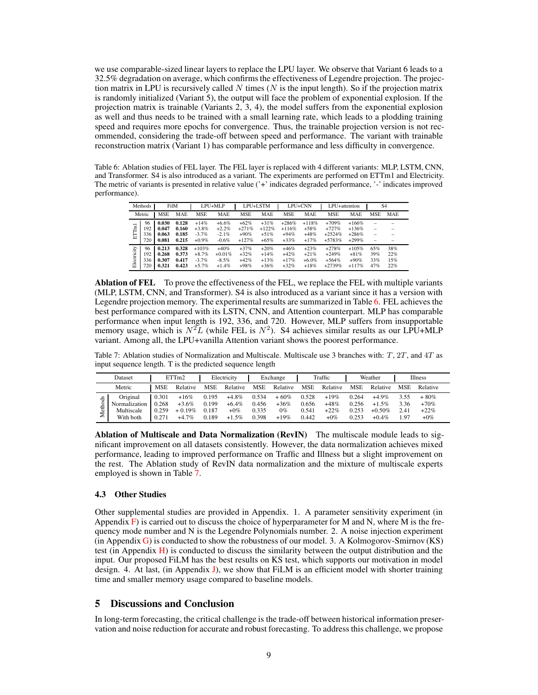we use comparable-sized linear layers to replace the LPU layer. We observe that Variant 6 leads to a 32.5% degradation on average, which confirms the effectiveness of Legendre projection. The projection matrix in LPU is recursively called N times (N is the input length). So if the projection matrix is randomly initialized (Variant 5), the output will face the problem of exponential explosion. If the projection matrix is trainable (Variants 2, 3, 4), the model suffers from the exponential explosion as well and thus needs to be trained with a small learning rate, which leads to a plodding training speed and requires more epochs for convergence. Thus, the trainable projection version is not recommended, considering the trade-off between speed and performance. The variant with trainable reconstruction matrix (Variant 1) has comparable performance and less difficulty in convergence.

<span id="page-8-1"></span>Table 6: Ablation studies of FEL layer. The FEL layer is replaced with 4 different variants: MLP, LSTM, CNN, and Transformer. S4 is also introduced as a variant. The experiments are performed on ETTm1 and Electricity. The metric of variants is presented in relative value ('+' indicates degraded performance, '-' indicates improved performance).

|             | Methods                 | FilM                             |                                  |                                           | LPU+MLP                                    |                                        | LPU+LSTM                              |                                        | LPU+CNN                                | LPU+attention                              |                                          |                                                           | S <sub>4</sub>           |
|-------------|-------------------------|----------------------------------|----------------------------------|-------------------------------------------|--------------------------------------------|----------------------------------------|---------------------------------------|----------------------------------------|----------------------------------------|--------------------------------------------|------------------------------------------|-----------------------------------------------------------|--------------------------|
|             | Metric                  | <b>MSE</b>                       | <b>MAE</b>                       | <b>MSE</b>                                | MAE                                        | <b>MSE</b>                             | <b>MAE</b>                            | <b>MSE</b>                             | MAE                                    | <b>MSE</b>                                 | <b>MAE</b>                               | <b>MSE</b>                                                | <b>MAE</b>               |
| ETTml       | 96<br>192<br>336<br>720 | 0.030<br>0.047<br>0.063<br>0.081 | 0.128<br>0.160<br>0.185<br>0.215 | $+14%$<br>$+3.8%$<br>$-3.7\%$<br>$+0.9\%$ | $+6.6\%$<br>$+2.2%$<br>$-2.1\%$<br>$-0.6%$ | $+62%$<br>$+271%$<br>$+90%$<br>$+127%$ | $+31%$<br>$+122%$<br>$+51%$<br>$+65%$ | $+286%$<br>$+116%$<br>$+94%$<br>$+33%$ | $+118%$<br>$+58%$<br>$+48%$<br>$+17%$  | $+709%$<br>$+727%$<br>$+2524%$<br>$+5783%$ | $+166%$<br>$+136%$<br>$+286%$<br>$+299%$ | -<br>$\overline{\phantom{0}}$<br>$\overline{\phantom{0}}$ |                          |
| Electricity | 96<br>192<br>336<br>720 | 0.213<br>0.268<br>0.307<br>0.321 | 0.328<br>0.373<br>0.417<br>0.423 | $+103%$<br>$+8.7%$<br>$-3.7%$<br>$+5.7%$  | $+40%$<br>$+0.01\%$<br>$-8.5%$<br>$+1.4%$  | $+37%$<br>$+32%$<br>$+42%$<br>$+98%$   | $+20%$<br>$+14%$<br>$+13%$<br>$+36%$  | $+46%$<br>$+42%$<br>$+17%$<br>$+32%$   | $+23%$<br>$+21%$<br>$+6.0\%$<br>$+18%$ | $+278%$<br>$+249%$<br>$+564%$<br>$+2739%$  | $+105%$<br>$+81%$<br>$+90%$<br>$+117%$   | 65%<br>39%<br>33%<br>47%                                  | 38%<br>22%<br>15%<br>22% |

Ablation of FEL To prove the effectiveness of the FEL, we replace the FEL with multiple variants (MLP, LSTM, CNN, and Transformer). S4 is also introduced as a variant since it has a version with Legendre projection memory. The experimental results are summarized in Table [6.](#page-8-1) FEL achieves the best performance compared with its LSTN, CNN, and Attention counterpart. MLP has comparable performance when input length is 192, 336, and 720. However, MLP suffers from insupportable memory usage, which is  $N^2L$  (while FEL is  $N^2$ ). S4 achieves similar results as our LPU+MLP variant. Among all, the LPU+vanilla Attention variant shows the poorest performance.

<span id="page-8-0"></span>Table 7: Ablation studies of Normalization and Multiscale. Multiscale use 3 branches with:  $T$ ,  $2T$ , and  $4T$  as input sequence length. T is the predicted sequence length

|             | Dataset                                              |                                  | ETTm2                                     |                                  | Electricity                                |                                  | Exchange                            |                                  | Traffic                              |                                  | Weather                                       |                              | Illness                              |
|-------------|------------------------------------------------------|----------------------------------|-------------------------------------------|----------------------------------|--------------------------------------------|----------------------------------|-------------------------------------|----------------------------------|--------------------------------------|----------------------------------|-----------------------------------------------|------------------------------|--------------------------------------|
|             | Metric                                               | MSE                              | Relative                                  | <b>MSE</b>                       | Relative                                   | <b>MSE</b>                       | Relative                            | <b>MSE</b>                       | Relative                             | <b>MSE</b>                       | Relative                                      | <b>MSE</b>                   | Relative                             |
| ջ<br>ω<br>Σ | Original<br>Normalization<br>Multiscale<br>With both | 0.301<br>0.268<br>0.259<br>0.271 | $+16%$<br>$+3.6\%$<br>$+0.19%$<br>$+4.7%$ | 0.195<br>0.199<br>0.187<br>0.189 | $+4.8\%$<br>$+6.4\%$<br>$+0\%$<br>$+1.5\%$ | 0.534<br>0.456<br>0.335<br>0.398 | $+60%$<br>$+36%$<br>$0\%$<br>$+19%$ | 0.528<br>0.656<br>0.541<br>0.442 | $+19%$<br>$+48%$<br>$+22%$<br>$+0\%$ | 0.264<br>0.256<br>0.253<br>0.253 | $+4.9\%$<br>$+1.5\%$<br>$+0.50\%$<br>$+0.4\%$ | 3.55<br>3.36<br>2.41<br>. 97 | $+80%$<br>$+70%$<br>$+22%$<br>$+0\%$ |

Ablation of Multiscale and Data Normalization (RevIN) The multiscale module leads to significant improvement on all datasets consistently. However, the data normalization achieves mixed performance, leading to improved performance on Traffic and Illness but a slight improvement on the rest. The Ablation study of RevIN data normalization and the mixture of multiscale experts employed is shown in Table [7.](#page-8-0)

#### 4.3 Other Studies

Other supplemental studies are provided in Appendix. 1. A parameter sensitivity experiment (in Appendix  $\overline{F}$ ) is carried out to discuss the choice of hyperparameter for M and N, where M is the frequency mode number and N is the Legendre Polynomials number. 2. A noise injection experiment  $(in Appendix G)$  $(in Appendix G)$  is conducted to show the robustness of our model. 3. A Kolmogorov-Smirnov (KS) test (in Appendix  $H$ ) is conducted to discuss the similarity between the output distribution and the input. Our proposed FiLM has the best results on KS test, which supports our motivation in model design. 4. At last, (in Appendix [J\)](#page-19-1), we show that FiLM is an efficient model with shorter training time and smaller memory usage compared to baseline models.

# 5 Discussions and Conclusion

In long-term forecasting, the critical challenge is the trade-off between historical information preservation and noise reduction for accurate and robust forecasting. To address this challenge, we propose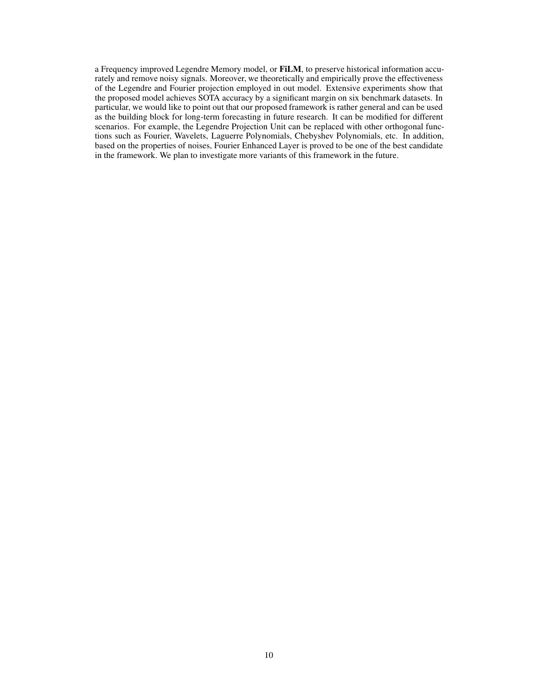a Frequency improved Legendre Memory model, or FiLM, to preserve historical information accurately and remove noisy signals. Moreover, we theoretically and empirically prove the effectiveness of the Legendre and Fourier projection employed in out model. Extensive experiments show that the proposed model achieves SOTA accuracy by a significant margin on six benchmark datasets. In particular, we would like to point out that our proposed framework is rather general and can be used as the building block for long-term forecasting in future research. It can be modified for different scenarios. For example, the Legendre Projection Unit can be replaced with other orthogonal functions such as Fourier, Wavelets, Laguerre Polynomials, Chebyshev Polynomials, etc. In addition, based on the properties of noises, Fourier Enhanced Layer is proved to be one of the best candidate in the framework. We plan to investigate more variants of this framework in the future.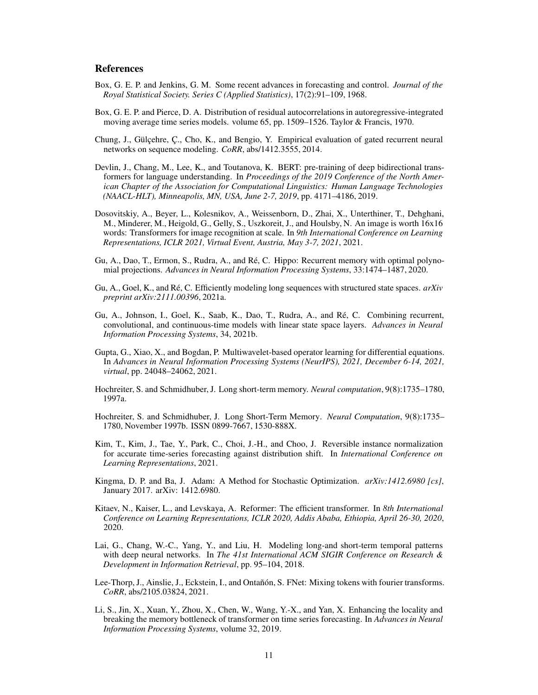# **References**

- <span id="page-10-7"></span>Box, G. E. P. and Jenkins, G. M. Some recent advances in forecasting and control. *Journal of the Royal Statistical Society. Series C (Applied Statistics)*, 17(2):91–109, 1968.
- <span id="page-10-8"></span>Box, G. E. P. and Pierce, D. A. Distribution of residual autocorrelations in autoregressive-integrated moving average time series models. volume 65, pp. 1509–1526. Taylor & Francis, 1970.
- <span id="page-10-10"></span>Chung, J., Gülçehre, Ç., Cho, K., and Bengio, Y. Empirical evaluation of gated recurrent neural networks on sequence modeling. *CoRR*, abs/1412.3555, 2014.
- Devlin, J., Chang, M., Lee, K., and Toutanova, K. BERT: pre-training of deep bidirectional transformers for language understanding. In *Proceedings of the 2019 Conference of the North American Chapter of the Association for Computational Linguistics: Human Language Technologies (NAACL-HLT), Minneapolis, MN, USA, June 2-7, 2019*, pp. 4171–4186, 2019.
- Dosovitskiy, A., Beyer, L., Kolesnikov, A., Weissenborn, D., Zhai, X., Unterthiner, T., Dehghani, M., Minderer, M., Heigold, G., Gelly, S., Uszkoreit, J., and Houlsby, N. An image is worth 16x16 words: Transformers for image recognition at scale. In *9th International Conference on Learning Representations, ICLR 2021, Virtual Event, Austria, May 3-7, 2021*, 2021.
- <span id="page-10-3"></span>Gu, A., Dao, T., Ermon, S., Rudra, A., and Ré, C. Hippo: Recurrent memory with optimal polynomial projections. *Advances in Neural Information Processing Systems*, 33:1474–1487, 2020.
- <span id="page-10-1"></span>Gu, A., Goel, K., and Ré, C. Efficiently modeling long sequences with structured state spaces. *arXiv preprint arXiv:2111.00396*, 2021a.
- <span id="page-10-2"></span>Gu, A., Johnson, I., Goel, K., Saab, K., Dao, T., Rudra, A., and Ré, C. Combining recurrent, convolutional, and continuous-time models with linear state space layers. *Advances in Neural Information Processing Systems*, 34, 2021b.
- <span id="page-10-4"></span>Gupta, G., Xiao, X., and Bogdan, P. Multiwavelet-based operator learning for differential equations. In *Advances in Neural Information Processing Systems (NeurIPS), 2021, December 6-14, 2021, virtual*, pp. 24048–24062, 2021.
- <span id="page-10-0"></span>Hochreiter, S. and Schmidhuber, J. Long short-term memory. *Neural computation*, 9(8):1735–1780, 1997a.
- <span id="page-10-9"></span>Hochreiter, S. and Schmidhuber, J. Long Short-Term Memory. *Neural Computation*, 9(8):1735– 1780, November 1997b. ISSN 0899-7667, 1530-888X.
- <span id="page-10-5"></span>Kim, T., Kim, J., Tae, Y., Park, C., Choi, J.-H., and Choo, J. Reversible instance normalization for accurate time-series forecasting against distribution shift. In *International Conference on Learning Representations*, 2021.
- <span id="page-10-13"></span>Kingma, D. P. and Ba, J. Adam: A Method for Stochastic Optimization. *arXiv:1412.6980 [cs]*, January 2017. arXiv: 1412.6980.
- Kitaev, N., Kaiser, L., and Levskaya, A. Reformer: The efficient transformer. In *8th International Conference on Learning Representations, ICLR 2020, Addis Ababa, Ethiopia, April 26-30, 2020*, 2020.
- <span id="page-10-12"></span>Lai, G., Chang, W.-C., Yang, Y., and Liu, H. Modeling long-and short-term temporal patterns with deep neural networks. In *The 41st International ACM SIGIR Conference on Research & Development in Information Retrieval*, pp. 95–104, 2018.
- <span id="page-10-11"></span>Lee-Thorp, J., Ainslie, J., Eckstein, I., and Ontañón, S. FNet: Mixing tokens with fourier transforms. *CoRR*, abs/2105.03824, 2021.
- <span id="page-10-6"></span>Li, S., Jin, X., Xuan, Y., Zhou, X., Chen, W., Wang, Y.-X., and Yan, X. Enhancing the locality and breaking the memory bottleneck of transformer on time series forecasting. In *Advances in Neural Information Processing Systems*, volume 32, 2019.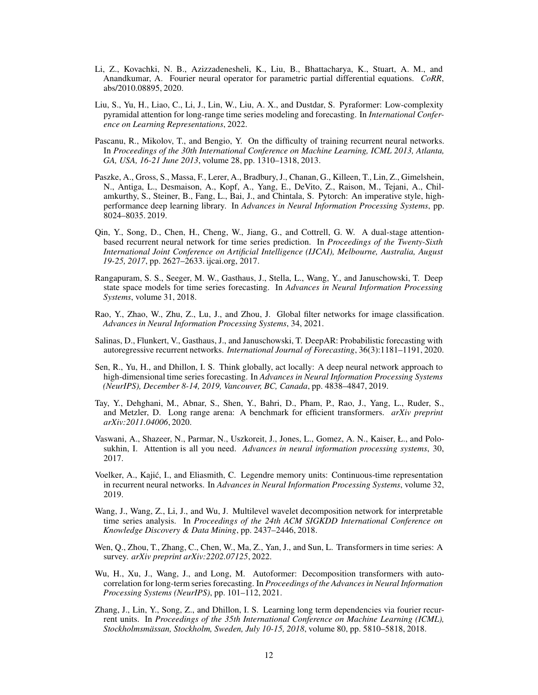- <span id="page-11-12"></span>Li, Z., Kovachki, N. B., Azizzadenesheli, K., Liu, B., Bhattacharya, K., Stuart, A. M., and Anandkumar, A. Fourier neural operator for parametric partial differential equations. *CoRR*, abs/2010.08895, 2020.
- <span id="page-11-10"></span>Liu, S., Yu, H., Liao, C., Li, J., Lin, W., Liu, A. X., and Dustdar, S. Pyraformer: Low-complexity pyramidal attention for long-range time series modeling and forecasting. In *International Conference on Learning Representations*, 2022.
- Pascanu, R., Mikolov, T., and Bengio, Y. On the difficulty of training recurrent neural networks. In *Proceedings of the 30th International Conference on Machine Learning, ICML 2013, Atlanta, GA, USA, 16-21 June 2013*, volume 28, pp. 1310–1318, 2013.
- <span id="page-11-13"></span>Paszke, A., Gross, S., Massa, F., Lerer, A., Bradbury, J., Chanan, G., Killeen, T., Lin, Z., Gimelshein, N., Antiga, L., Desmaison, A., Kopf, A., Yang, E., DeVito, Z., Raison, M., Tejani, A., Chilamkurthy, S., Steiner, B., Fang, L., Bai, J., and Chintala, S. Pytorch: An imperative style, highperformance deep learning library. In *Advances in Neural Information Processing Systems*, pp. 8024–8035. 2019.
- <span id="page-11-9"></span>Qin, Y., Song, D., Chen, H., Cheng, W., Jiang, G., and Cottrell, G. W. A dual-stage attentionbased recurrent neural network for time series prediction. In *Proceedings of the Twenty-Sixth International Joint Conference on Artificial Intelligence (IJCAI), Melbourne, Australia, August 19-25, 2017*, pp. 2627–2633. ijcai.org, 2017.
- <span id="page-11-0"></span>Rangapuram, S. S., Seeger, M. W., Gasthaus, J., Stella, L., Wang, Y., and Januschowski, T. Deep state space models for time series forecasting. In *Advances in Neural Information Processing Systems*, volume 31, 2018.
- <span id="page-11-2"></span>Rao, Y., Zhao, W., Zhu, Z., Lu, J., and Zhou, J. Global filter networks for image classification. *Advances in Neural Information Processing Systems*, 34, 2021.
- Salinas, D., Flunkert, V., Gasthaus, J., and Januschowski, T. DeepAR: Probabilistic forecasting with autoregressive recurrent networks. *International Journal of Forecasting*, 36(3):1181–1191, 2020.
- <span id="page-11-8"></span>Sen, R., Yu, H., and Dhillon, I. S. Think globally, act locally: A deep neural network approach to high-dimensional time series forecasting. In *Advances in Neural Information Processing Systems (NeurIPS), December 8-14, 2019, Vancouver, BC, Canada*, pp. 4838–4847, 2019.
- <span id="page-11-6"></span>Tay, Y., Dehghani, M., Abnar, S., Shen, Y., Bahri, D., Pham, P., Rao, J., Yang, L., Ruder, S., and Metzler, D. Long range arena: A benchmark for efficient transformers. *arXiv preprint arXiv:2011.04006*, 2020.
- <span id="page-11-1"></span>Vaswani, A., Shazeer, N., Parmar, N., Uszkoreit, J., Jones, L., Gomez, A. N., Kaiser, Ł., and Polosukhin, I. Attention is all you need. *Advances in neural information processing systems*, 30, 2017.
- <span id="page-11-5"></span>Voelker, A., Kajić, I., and Eliasmith, C. Legendre memory units: Continuous-time representation in recurrent neural networks. In *Advances in Neural Information Processing Systems*, volume 32, 2019.
- <span id="page-11-7"></span>Wang, J., Wang, Z., Li, J., and Wu, J. Multilevel wavelet decomposition network for interpretable time series analysis. In *Proceedings of the 24th ACM SIGKDD International Conference on Knowledge Discovery & Data Mining*, pp. 2437–2446, 2018.
- <span id="page-11-4"></span>Wen, Q., Zhou, T., Zhang, C., Chen, W., Ma, Z., Yan, J., and Sun, L. Transformers in time series: A survey. *arXiv preprint arXiv:2202.07125*, 2022.
- <span id="page-11-3"></span>Wu, H., Xu, J., Wang, J., and Long, M. Autoformer: Decomposition transformers with autocorrelation for long-term series forecasting. In *Proceedings of the Advances in Neural Information Processing Systems (NeurIPS)*, pp. 101–112, 2021.
- <span id="page-11-11"></span>Zhang, J., Lin, Y., Song, Z., and Dhillon, I. S. Learning long term dependencies via fourier recurrent units. In *Proceedings of the 35th International Conference on Machine Learning (ICML), Stockholmsmässan, Stockholm, Sweden, July 10-15, 2018*, volume 80, pp. 5810–5818, 2018.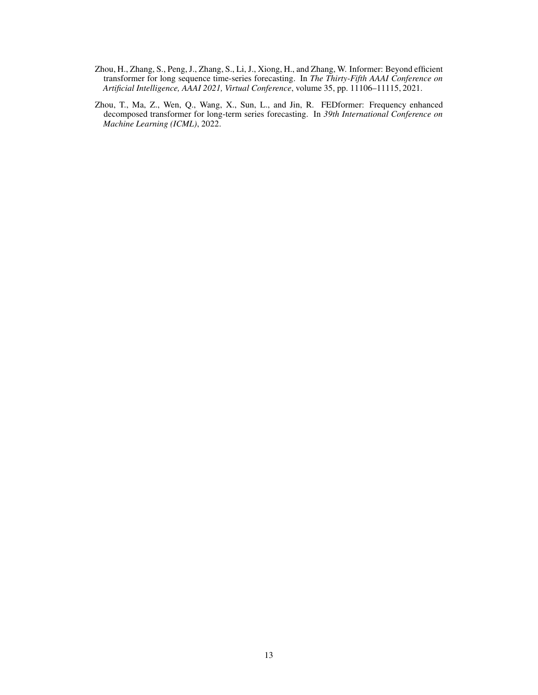- <span id="page-12-0"></span>Zhou, H., Zhang, S., Peng, J., Zhang, S., Li, J., Xiong, H., and Zhang, W. Informer: Beyond efficient transformer for long sequence time-series forecasting. In *The Thirty-Fifth AAAI Conference on Artificial Intelligence, AAAI 2021, Virtual Conference*, volume 35, pp. 11106–11115, 2021.
- <span id="page-12-1"></span>Zhou, T., Ma, Z., Wen, Q., Wang, X., Sun, L., and Jin, R. FEDformer: Frequency enhanced decomposed transformer for long-term series forecasting. In *39th International Conference on Machine Learning (ICML)*, 2022.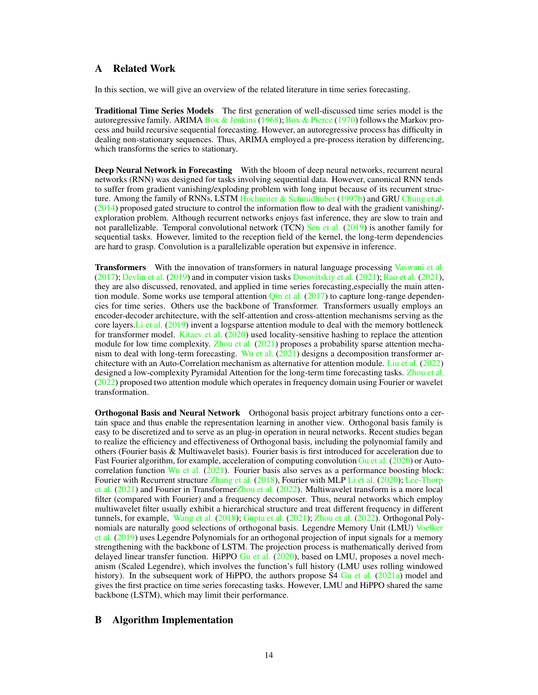# <span id="page-13-0"></span>A Related Work

In this section, we will give an overview of the related literature in time series forecasting.

Traditional Time Series Models The first generation of well-discussed time series model is the autoregressive family. ARIMA Box & Jenkins (1968); [Box & Pierce](#page-10-8) [\(1970](#page-10-8)) follows the Markov process and build recursive sequential forecasting. However, an autoregressive process has difficulty in dealing non-stationary sequences. Thus, ARIMA employed a pre-process iteration by differencing, which transforms the series to stationary.

Deep Neural Network in Forecasting With the bloom of deep neural networks, recurrent neural networks (RNN) was designed for tasks involving sequential data. However, canonical RNN tends to suffer from gradient vanishing/exploding problem with long input because of its recurrent structure. Among the family of RNNs, LSTM [Hochreiter & Schmidhuber](#page-10-9) [\(1997b\)](#page-10-9) and GRU [Chung et al.](#page-10-10) [\(2014](#page-10-10)) proposed gated structure to control the information flow to deal with the gradient vanishing/ exploration problem. Although recurrent networks enjoys fast inference, they are slow to train and not parallelizable. Temporal convolutional network (TCN) [Sen et al.](#page-11-8) [\(2019](#page-11-8)) is another family for sequential tasks. However, limited to the reception field of the kernel, the long-term dependencies are hard to grasp. Convolution is a parallelizable operation but expensive in inference.

Transformers With the innovation of transformers in natural language processing [Vaswani et al.](#page-11-1) [\(2017](#page-11-1)); Devlin et al. (2019) and in computer vision tasks Dosovitskiy et al. (2021); [Rao et al.](#page-11-2) [\(2021\)](#page-11-2), they are also discussed, renovated, and applied in time series forecasting,especially the main attention module. Some works use temporal attention  $\overline{\text{O}}$  in et al. [\(2017\)](#page-11-9) to capture long-range dependencies for time series. Others use the backbone of Transformer. Transformers usually employs an encoder-decoder architecture, with the self-attention and cross-attention mechanisms serving as the core layers[.Li et al.](#page-10-6) [\(2019](#page-10-6)) invent a logsparse attention module to deal with the memory bottleneck for transformer model. Kitaev et al. (2020) used locality-sensitive hashing to replace the attention module for low time complexity. [Zhou et al.](#page-12-0) [\(2021](#page-12-0)) proposes a probability sparse attention mechanism to deal with long-term forecasting. [Wu et al.](#page-11-3) [\(2021\)](#page-11-3) designs a decomposition transformer architecture with an Auto-Correlation mechanism as alternative for attention module. [Liu et al.](#page-11-10) [\(2022\)](#page-11-10) designed a low-complexity Pyramidal Attention for the long-term time forecasting tasks. [Zhou et al.](#page-12-1) [\(2022](#page-12-1)) proposed two attention module which operates in frequency domain using Fourier or wavelet transformation.

Orthogonal Basis and Neural Network Orthogonal basis project arbitrary functions onto a certain space and thus enable the representation learning in another view. Orthogonal basis family is easy to be discretized and to serve as an plug-in operation in neural networks. Recent studies began to realize the efficiency and effectiveness of Orthogonal basis, including the polynomial family and others (Fourier basis & Multiwavelet basis). Fourier basis is first introduced for acceleration due to Fast Fourier algorithm, for example, acceleration of computing convolution [Gu et al.](#page-10-3) [\(2020\)](#page-10-3) or Autocorrelation function [Wu et al.](#page-11-3) [\(2021](#page-11-3)). Fourier basis also serves as a performance boosting block: Four[ier with Recurrent structure](#page-10-11) [Zhang et al.](#page-11-11) [\(2018\)](#page-11-11), Fourier with MLP [Li et al.](#page-11-12) [\(2020](#page-11-12)); Lee-Thorp et al. [\(2021\)](#page-10-11) and Fourier in Transforme[rZhou et al.](#page-12-1) [\(2022](#page-12-1)). Multiwavelet transform is a more local filter (compared with Fourier) and a frequency decomposer. Thus, neural networks which employ multiwavelet filter usually exhibit a hierarchical structure and treat different frequency in different tunnels, for example, [Wang et al.](#page-11-7) [\(2018\)](#page-11-7); [Gupta et al.](#page-10-4) [\(2021\)](#page-10-4); [Zhou et al.](#page-12-1) [\(2022](#page-12-1)). Orthogonal Polynom[ials are naturally good selections of orthogonal basis.](#page-11-5) Legendre Memory Unit (LMU) Voelker et al. [\(2019](#page-11-5)) uses Legendre Polynomials for an orthogonal projection of input signals for a memory strengthening with the backbone of LSTM. The projection process is mathematically derived from delayed linear transfer function. HiPPO [Gu et al.](#page-10-3) [\(2020\)](#page-10-3), based on LMU, proposes a novel mechanism (Scaled Legendre), which involves the function's full history (LMU uses rolling windowed history). In the subsequent work of HiPPO, the authors propose S4 [Gu et al.](#page-10-1) [\(2021a](#page-10-1)) model and gives the first practice on time series forecasting tasks. However, LMU and HiPPO shared the same backbone (LSTM), which may limit their performance.

# <span id="page-13-1"></span>B Algorithm Implementation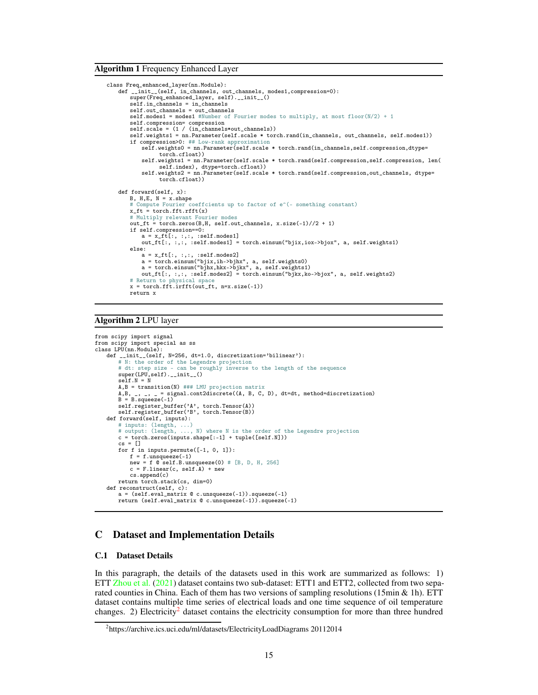Algorithm 1 Frequency Enhanced Layer

```
class Freq_enhanced_layer(nn.Module):
    def __init__(self, in_channels, out_channels, modes1,compression=0):
super(Freq_enhanced_layer, self).__init__()
        self.in_channels = in_channels
        self.out_channels = out_channels
        self.modes1 = modes1 #Number of Fourier modes to multiply, at most floor(N/2) + 1
        self.compression= compression
self.scale = (1 / (in_channels*out_channels))
        self.weights1 = nn.Parameter(self.scale * torch.rand(in_channels, out_channels, self.modes1))
        if compression>0: ## Low-rank approximation
            self.weights0 = nn.Parameter(self.scale * torch.rand(in_channels,self.compression,dtype=
                  torch.cfloat))
            self.weights1 = nn.Parameter(self.scale * torch.rand(self.compression,self.compression, len(
                  self.index), dtype=torch.cfloat))
            self.weights2 = nn.Parameter(self.scale * torch.rand(self.compression,out_channels, dtype=
                  torch.cfloat))
    def forward(self, x):
        B, H, E, N = x. shape
        # Compute Fourier coeffcients up to factor of e^(- something constant)
        x_ft = torch.fft.rfft(x)
        # Multiply relevant Fourier modes
        out_ft = torch.zeros(B,H, self.out_channels, x.size(-1)//2 + 1)
        if self.compression==0:
            a = x_ft[:, :, :, :self.modes1]
            out_ft[:, :,:, :self.modes1] = torch.einsum("bjix,iox->bjox", a, self.weights1)
        else:
            a = x_ft[:, :,:, :self.modes2]<br>a = torch.einsum("bjix,ih->bjhx", a, self.weights0)<br>a = torch.einsum("bjhx,hkx->bjkx", a, self.weights1)
            out_ft[:, :,:, :self.modes2] = torch.einsum("bjkx,ko->bjox", a, self.weights2)
        # Return to physical space
        x = torch.fft.irfft(out_ft, n=x.size(-1))
        return x
```
### Algorithm 2 LPU layer

```
from scipy import signal
from scipy import special as ss
class LPU(nn.Module):
   def __init__(self, N=256, dt=1.0, discretization='bilinear'):
        # N: the order of the Legendre projection
# dt: step size - can be roughly inverse to the length of the sequence
        super(LPU,self).__init__()
       seIt.N = NA, B = transition(N) ### LMU projection matrix
        A,B, _, _, _ = signal.cont2discrete((A, B, C, D), dt=dt, method=discretization)
B = B.squeeze(-1)
       self.register_buffer('A', torch.Tensor(A))
        self.register_buffer('B', torch.Tensor(B))
   def forward(self, inputs):
        # inputs: (length, ...)
# output: (length, ..., N) where N is the order of the Legendre projection
        c = torch.zeros(inputs.shape[:-1] + tuple([self.N]))
        cs = \Boxfor f in inputs.permute([-1, 0, 1]):
            f = f.\nunsqueeze(-1)
            new = f @ self.B. unsqueeze(0) # [B, D, H, 256]c = Fu. The c, self. A) + new
           cs.append(c)
        return torch.stack(cs, dim=0)
   def reconstruct(self, c):
        a = (self.\text{eval_matrix } @c.\text{unsqueeze}(-1)). squeeze(-1)
        return (self.eval_matrix @ c.unsqueeze(-1)).squeeze(-1)
```
### C Dataset and Implementation Details

#### C.1 Dataset Details

In this paragraph, the details of the datasets used in this work are summarized as follows: 1) ETT [Zhou et al.](#page-12-0) [\(2021](#page-12-0)) dataset contains two sub-dataset: ETT1 and ETT2, collected from two separated counties in China. Each of them has two versions of sampling resolutions (15min & 1h). ETT dataset contains multiple time series of electrical loads and one time sequence of oil temperature changes. [2](#page-14-0)) Electricity<sup>2</sup> dataset contains the electricity consumption for more than three hundred

<span id="page-14-0"></span><sup>&</sup>lt;sup>2</sup>https://archive.ics.uci.edu/ml/datasets/ElectricityLoadDiagrams 20112014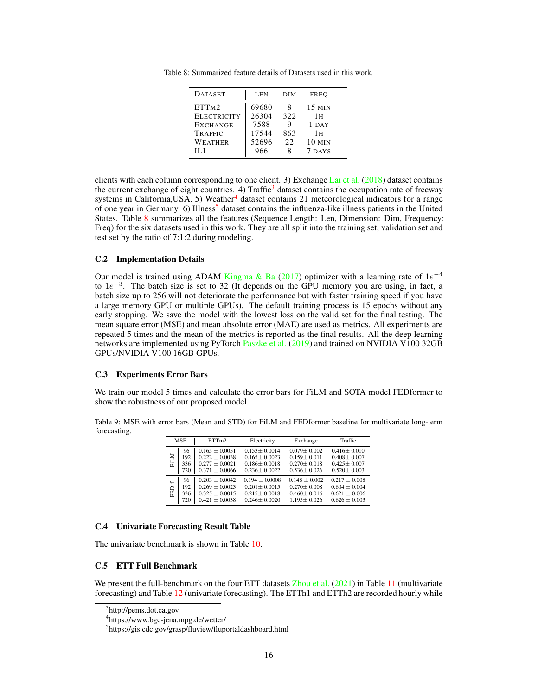| <b>DATASET</b>                                                                   | <b>LEN</b>                               | DIM                    | <b>FREO</b>                            |
|----------------------------------------------------------------------------------|------------------------------------------|------------------------|----------------------------------------|
| ETT <sub>M2</sub><br><b>ELECTRICITY</b><br><b>EXCHANGE</b><br>TRAFFIC<br>WEATHER | 69680<br>26304<br>7588<br>17544<br>52696 | 322<br>9<br>863<br>22. | 15 MIN<br>1н<br>1 DAY<br>1 H<br>10 MIN |
| HЛ                                                                               | 966                                      |                        | 7 DAYS                                 |

<span id="page-15-5"></span>Table 8: Summarized feature details of Datasets used in this work.

clients with each column corresponding to one client. 3) Exchange [Lai et al.](#page-10-12) [\(2018](#page-10-12)) dataset contains the current exchange of eight countries. 4) Traffic<sup>[3](#page-15-2)</sup> dataset contains the occupation rate of freeway systems in California, USA. 5) Weather<sup>[4](#page-15-3)</sup> dataset contains 21 meteorological indicators for a range of one year in Germany. 6) Illness<sup>[5](#page-15-4)</sup> dataset contains the influenza-like illness patients in the United States. Table [8](#page-15-5) summarizes all the features (Sequence Length: Len, Dimension: Dim, Frequency: Freq) for the six datasets used in this work. They are all split into the training set, validation set and test set by the ratio of 7:1:2 during modeling.

### C.2 Implementation Details

Our model is trained using ADAM [Kingma & Ba](#page-10-13) [\(2017](#page-10-13)) optimizer with a learning rate of  $1e^{-4}$ to  $1e^{-3}$ . The batch size is set to 32 (It depends on the GPU memory you are using, in fact, a batch size up to 256 will not deteriorate the performance but with faster training speed if you have a large memory GPU or multiple GPUs). The default training process is 15 epochs without any early stopping. We save the model with the lowest loss on the valid set for the final testing. The mean square error (MSE) and mean absolute error (MAE) are used as metrics. All experiments are repeated 5 times and the mean of the metrics is reported as the final results. All the deep learning networks are implemented using PyTorch [Paszke et al.](#page-11-13) [\(2019](#page-11-13)) and trained on NVIDIA V100 32GB GPUs/NVIDIA V100 16GB GPUs.

#### C.3 Experiments Error Bars

We train our model 5 times and calculate the error bars for FiLM and SOTA model FEDformer to show the robustness of our proposed model.

Table 9: MSE with error bars (Mean and STD) for FiLM and FEDformer baseline for multivariate long-term forecasting.

|       | <b>MSE</b> | ETTm2              | Electricity        | Exchange        | Traffic           |
|-------|------------|--------------------|--------------------|-----------------|-------------------|
| FiLM  | 96         | $0.165 + 0.0051$   | $0.153 + 0.0014$   | $0.079 + 0.002$ | $0.416 + 0.010$   |
|       | 192        | $0.222 + 0.0038$   | $0.165 + 0.0023$   | $0.159 + 0.011$ | $0.408 \pm 0.007$ |
|       | 336        | $0.277 + 0.0021$   | $0.186 + 0.0018$   | $0.270 + 0.018$ | $0.425 + 0.007$   |
|       | 720        | $0.371 + 0.0066$   | $0.236 + 0.0022$   | $0.536 + 0.026$ | $0.520 + 0.003$   |
| FED-f | 96         | $0.203 + 0.0042$   | $0.194 \pm 0.0008$ | $0.148 + 0.002$ | $0.217 + 0.008$   |
|       | 192        | $0.269 \pm 0.0023$ | $0.201 + 0.0015$   | $0.270 + 0.008$ | $0.604 \pm 0.004$ |
|       | 336        | $0.325 + 0.0015$   | $0.215 + 0.0018$   | $0.460 + 0.016$ | $0.621 \pm 0.006$ |
|       | 720        | $0.421 \pm 0.0038$ | $0.246 + 0.0020$   | $1.195 + 0.026$ | $0.626 + 0.003$   |

### <span id="page-15-1"></span>C.4 Univariate Forecasting Result Table

<span id="page-15-0"></span>The univariate benchmark is shown in Table [10.](#page-16-0)

### C.5 ETT Full Benchmark

We present the full-benchmark on the four ETT datasets [Zhou et al.](#page-12-0) [\(2021](#page-12-0)) in Table [11](#page-16-2) (multivariate forecasting) and Table [12](#page-17-1) (univariate forecasting). The ETTh1 and ETTh2 are recorded hourly while

<sup>&</sup>lt;sup>3</sup>http://pems.dot.ca.gov

<span id="page-15-2"></span><sup>4</sup> https://www.bgc-jena.mpg.de/wetter/

<span id="page-15-4"></span><span id="page-15-3"></span><sup>5</sup> https://gis.cdc.gov/grasp/fluview/fluportaldashboard.html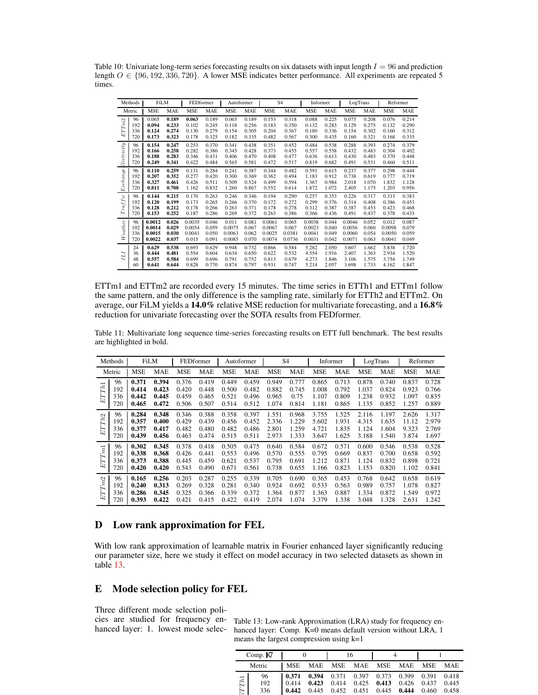|                                                  | Methods | <b>FiLM</b> |       | FEDformer  |       | Autoformer |       |            | S <sub>4</sub> | Informer   |       | LogTrans   |       | Reformer   |       |
|--------------------------------------------------|---------|-------------|-------|------------|-------|------------|-------|------------|----------------|------------|-------|------------|-------|------------|-------|
|                                                  | Metric  | <b>MSE</b>  | MAE   | <b>MSE</b> | MAE   | MSE        | MAE   | <b>MSE</b> | MAE            | <b>MSE</b> | MAE   | <b>MSE</b> | MAE   | <b>MSE</b> | MAE   |
| ETTm2                                            | 96      | 0.065       | 0.189 | 0.063      | 0.189 | 0.065      | 0.189 | 0.153      | 0.318          | 0.088      | 0.225 | 0.075      | 0.208 | 0.076      | 0.214 |
|                                                  | 192     | 0.094       | 0.233 | 0.102      | 0.245 | 0.118      | 0.256 | 0.183      | 0.350          | 0.132      | 0.283 | 0.129      | 0.275 | 0.132      | 0.290 |
|                                                  | 336     | 0.124       | 0.274 | 0.130      | 0.279 | 0.154      | 0.305 | 0.204      | 0.367          | 0.180      | 0.336 | 0.154      | 0.302 | 0.160      | 0.312 |
|                                                  | 720     | 0.173       | 0.323 | 0.178      | 0.325 | 0.182      | 0.335 | 0.482      | 0.567          | 0.300      | 0.435 | 0.160      | 0.321 | 0.168      | 0.335 |
|                                                  | 96      | 0.154       | 0.247 | 0.253      | 0.370 | 0.341      | 0.438 | 0.351      | 0.452          | 0.484      | 0.538 | 0.288      | 0.393 | 0.274      | 0.379 |
|                                                  | 192     | 0.166       | 0.258 | 0.282      | 0.386 | 0.345      | 0.428 | 0.373      | 0.455          | 0.557      | 0.558 | 0.432      | 0.483 | 0.304      | 0.402 |
|                                                  | 336     | 0.188       | 0.283 | 0.346      | 0.431 | 0.406      | 0.470 | 0.408      | 0.477          | 0.636      | 0.613 | 0.430      | 0.483 | 0.370      | 0.448 |
|                                                  | 720     | 0.249       | 0.341 | 0.422      | 0.484 | 0.565      | 0.581 | 0.472      | 0.517          | 0.819      | 0.682 | 0.491      | 0.531 | 0.460      | 0.511 |
| $\label{prop:ex1} Exchange {\small Electricity}$ | 96      | 0.110       | 0.259 | 0.131      | 0.284 | 0.241      | 0.387 | 0.344      | 0.482          | 0.591      | 0.615 | 0.237      | 0.377 | 0.298      | 0.444 |
|                                                  | 192     | 0.207       | 0.352 | 0.277      | 0.420 | 0.300      | 0.369 | 0.362      | 0.494          | 1.183      | 0.912 | 0.738      | 0.619 | 0.777      | 0.719 |
|                                                  | 336     | 0.327       | 0.461 | 0.426      | 0.511 | 0.509      | 0.524 | 0.499      | 0.594          | 1.367      | 0.984 | 2.018      | 1.070 | 1.832      | 1.128 |
|                                                  | 720     | 0.811       | 0.708 | 1.162      | 0.832 | 1.260      | 0.867 | 0.552      | 0.614          | 1.872      | 1.072 | 2.405      | 1.175 | 1.203      | 0.956 |
| Traffic                                          | 96      | 0.144       | 0.215 | 0.170      | 0.263 | 0.246      | 0.346 | 0.194      | 0.290          | 0.257      | 0.353 | 0.226      | 0.317 | 0.313      | 0.383 |
|                                                  | 192     | 0.120       | 0.199 | 0.173      | 0.265 | 0.266      | 0.370 | 0.172      | 0.272          | 0.299      | 0.376 | 0.314      | 0.408 | 0.386      | 0.453 |
|                                                  | 336     | 0.128       | 0.212 | 0.178      | 0.266 | 0.263      | 0.371 | 0.178      | 0.278          | 0.312      | 0.387 | 0.387      | 0.453 | 0.423      | 0.468 |
|                                                  | 720     | 0.153       | 0.252 | 0.187      | 0.286 | 0.269      | 0.372 | 0.263      | 0.386          | 0.366      | 0.436 | 0.491      | 0.437 | 0.378      | 0.433 |
| Weather                                          | 96      | 0.0012      | 0.026 | 0.0035     | 0.046 | 0.011      | 0.081 | 0.0061     | 0.065          | 0.0038     | 0.044 | 0.0046     | 0.052 | 0.012      | 0.087 |
|                                                  | 192     | 0.0014      | 0.029 | 0.0054     | 0.059 | 0.0075     | 0.067 | 0.0067     | 0.067          | 0.0023     | 0.040 | 0.0056     | 0.060 | 0.0098     | 0.079 |
|                                                  | 336     | 0.0015      | 0.030 | 0.0041     | 0.050 | 0.0063     | 0.062 | 0.0025     | 0.0381         | 0.0041     | 0.049 | 0.0060     | 0.054 | 0.0050     | 0.059 |
|                                                  | 720     | 0.0022      | 0.037 | 0.015      | 0.091 | 0.0085     | 0.070 | 0.0074     | 0.0736         | 0.0031     | 0.042 | 0.0071     | 0.063 | 0.0041     | 0.049 |
| IЛ                                               | 24      | 0.629       | 0.538 | 0.693      | 0.629 | 0.948      | 0.732 | 0.866      | 0.584          | 5.282      | 2.050 | 3.607      | 1.662 | 3.838      | 1.720 |
|                                                  | 36      | 0.444       | 0.481 | 0.554      | 0.604 | 0.634      | 0.650 | 0.622      | 0.532          | 4.554      | 1.916 | 2.407      | 1.363 | 2.934      | 1.520 |
|                                                  | 48      | 0.557       | 0.584 | 0.699      | 0.696 | 0.791      | 0.752 | 0.813      | 0.679          | 4.273      | 1.846 | 3.106      | 1.575 | 3.754      | 1.749 |
|                                                  | 60      | 0.641       | 0.644 | 0.828      | 0.770 | 0.874      | 0.797 | 0.931      | 0.747          | 5.214      | 2.057 | 3.698      | 1.733 | 4.162      | 1.847 |

<span id="page-16-0"></span>Table 10: Univariate long-term series forecasting results on six datasets with input length  $I = 96$  and prediction length  $O \in \{96, 192, 336, 720\}$ . A lower MSE indicates better performance. All experiments are repeated 5 times.

ETTm1 and ETTm2 are recorded every 15 minutes. The time series in ETTh1 and ETTm1 follow the same pattern, and the only difference is the sampling rate, similarly for ETTh2 and ETTm2. On average, our FiLM yields a 14.0% relative MSE reduction for multivariate forecasting, and a 16.8% reduction for univariate forecasting over the SOTA results from FEDformer.

<span id="page-16-2"></span>Table 11: Multivariate long sequence time-series forecasting results on ETT full benchmark. The best results are highlighted in bold.

|                   | Methods |            | <b>FiLM</b> |       | FEDformer  |            | Autoformer |            | S <sub>4</sub> |            | Informer |            | LogTrans |       | Reformer |
|-------------------|---------|------------|-------------|-------|------------|------------|------------|------------|----------------|------------|----------|------------|----------|-------|----------|
|                   | Metric  | <b>MSE</b> | MAE         | MSE   | <b>MAE</b> | <b>MSE</b> | <b>MAE</b> | <b>MSE</b> | <b>MAE</b>     | <b>MSE</b> | MAE      | <b>MSE</b> | MAE      | MSE   | MAE      |
| ETTh1             | 96      | 0.371      | 0.394       | 0.376 | 0.419      | 0.449      | 0.459      | 0.949      | 0.777          | 0.865      | 0.713    | 0.878      | 0.740    | 0.837 | 0.728    |
|                   | 192     | 0.414      | 0.423       | 0.420 | 0.448      | 0.500      | 0.482      | 0.882      | 0.745          | 1.008      | 0.792    | 1.037      | 0.824    | 0.923 | 0.766    |
|                   | 336     | 0.442      | 0.445       | 0.459 | 0.465      | 0.521      | 0.496      | 0.965      | 0.75           | 1.107      | 0.809    | 1.238      | 0.932    | 1.097 | 0.835    |
|                   | 720     | 0.465      | 0.472       | 0.506 | 0.507      | 0.514      | 0.512      | 1.074      | 0.814          | 1.181      | 0.865    | 1.135      | 0.852    | 1.257 | 0.889    |
| ETT <sub>h2</sub> | 96      | 0.284      | 0.348       | 0.346 | 0.388      | 0.358      | 0.397      | 1.551      | 0.968          | 3.755      | 1.525    | 2.116      | 1.197    | 2.626 | 1.317    |
|                   | 192     | 0.357      | 0.400       | 0.429 | 0.439      | 0.456      | 0.452      | 2.336      | 1.229          | 5.602      | 1.931    | 4.315      | 1.635    | 11.12 | 2.979    |
|                   | 336     | 0.377      | 0.417       | 0.482 | 0.480      | 0.482      | 0.486      | 2.801      | 1.259          | 4.721      | 1.835    | 1.124      | 1.604    | 9.323 | 2.769    |
|                   | 720     | 0.439      | 0.456       | 0.463 | 0.474      | 0.515      | 0.511      | 2.973      | 1.333          | 3.647      | 1.625    | 3.188      | 1.540    | 3.874 | 1.697    |
| ETTm1             | 96      | 0.302      | 0.345       | 0.378 | 0.418      | 0.505      | 0.475      | 0.640      | 0.584          | 0.672      | 0.571    | 0.600      | 0.546    | 0.538 | 0.528    |
|                   | 192     | 0.338      | 0.368       | 0.426 | 0.441      | 0.553      | 0.496      | 0.570      | 0.555          | 0.795      | 0.669    | 0.837      | 0.700    | 0.658 | 0.592    |
|                   | 336     | 0.373      | 0.388       | 0.445 | 0.459      | 0.621      | 0.537      | 0.795      | 0.691          | 1.212      | 0.871    | 1.124      | 0.832    | 0.898 | 0.721    |
|                   | 720     | 0.420      | 0.420       | 0.543 | 0.490      | 0.671      | 0.561      | 0.738      | 0.655          | 1.166      | 0.823    | 1.153      | 0.820    | 1.102 | 0.841    |
| ETTm2             | 96      | 0.165      | 0.256       | 0.203 | 0.287      | 0.255      | 0.339      | 0.705      | 0.690          | 0.365      | 0.453    | 0.768      | 0.642    | 0.658 | 0.619    |
|                   | 192     | 0.240      | 0.313       | 0.269 | 0.328      | 0.281      | 0.340      | 0.924      | 0.692          | 0.533      | 0.563    | 0.989      | 0.757    | 1.078 | 0.827    |
|                   | 336     | 0.286      | 0.345       | 0.325 | 0.366      | 0.339      | 0.372      | 1.364      | 0.877          | 1.363      | 0.887    | 1.334      | 0.872    | 1.549 | 0.972    |
|                   | 720     | 0.393      | 0.422       | 0.421 | 0.415      | 0.422      | 0.419      | 2.074      | 1.074          | 3.379      | 1.338    | 3.048      | 1.328    | 2.631 | 1.242    |

### D Low rank approximation for FEL

With low rank approximation of learnable matrix in Fourier enhanced layer significantly reducing our parameter size, here we study it effect on model accuracy in two selected datasets as shown in table [13.](#page-16-1)

# E Mode selection policy for FEL

Three different mode selection policies are studied for frequency enhanced layer: 1. lowest mode selec-

<span id="page-16-1"></span>Table 13: Low-rank Approximation (LRA) study for frequency enhanced layer: Comp. K=0 means default version without LRA, 1 means the largest compression using k=1

| Comp. $K$ |                  |                         |                         |                         | 16                      |                         |                         |                         |                        |
|-----------|------------------|-------------------------|-------------------------|-------------------------|-------------------------|-------------------------|-------------------------|-------------------------|------------------------|
| Metric    |                  | <b>MSE</b>              | <b>MAE</b>              | <b>MSE</b>              | <b>MAE</b>              | <b>MSE</b>              | MAE                     | <b>MSE</b>              | <b>MAE</b>             |
| STTh1     | 96<br>192<br>336 | 0.371<br>0.414<br>0.442 | 0.394<br>0.423<br>0.445 | 0.371<br>0.414<br>0.452 | 0.397<br>0.425<br>0.451 | 0.373<br>0.413<br>0.445 | 0.399<br>0.426<br>0.444 | 0.391<br>0.437<br>0.460 | 0.418<br>0.445<br>0458 |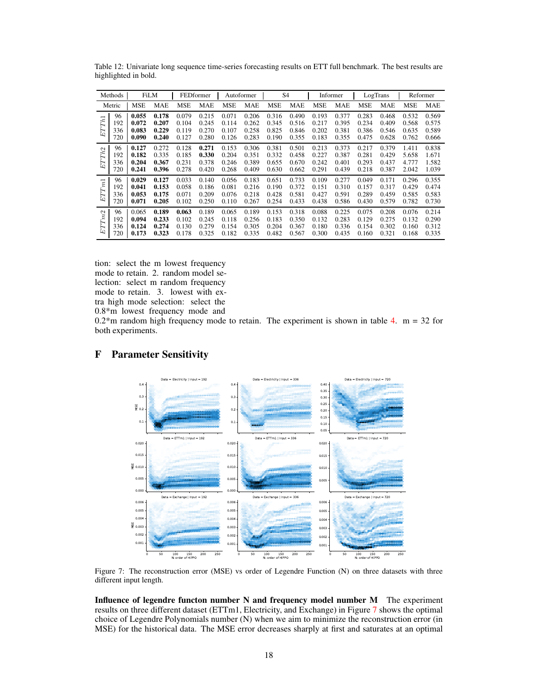|                   | Methods |            | <b>FiLM</b> |            | FEDformer  |       | Autoformer |            | S <sub>4</sub> |       | Informer |            | LogTrans   |            | Reformer   |
|-------------------|---------|------------|-------------|------------|------------|-------|------------|------------|----------------|-------|----------|------------|------------|------------|------------|
|                   | Metric  | <b>MSE</b> | <b>MAE</b>  | <b>MSE</b> | <b>MAE</b> | MSE   | <b>MAE</b> | <b>MSE</b> | <b>MAE</b>     | MSE   | MAE      | <b>MSE</b> | <b>MAE</b> | <b>MSE</b> | <b>MAE</b> |
| ETTh1             | 96      | 0.055      | 0.178       | 0.079      | 0.215      | 0.071 | 0.206      | 0.316      | 0.490          | 0.193 | 0.377    | 0.283      | 0.468      | 0.532      | 0.569      |
|                   | 192     | 0.072      | 0.207       | 0.104      | 0.245      | 0.114 | 0.262      | 0.345      | 0.516          | 0.217 | 0.395    | 0.234      | 0.409      | 0.568      | 0.575      |
|                   | 336     | 0.083      | 0.229       | 0.119      | 0.270      | 0.107 | 0.258      | 0.825      | 0.846          | 0.202 | 0.381    | 0.386      | 0.546      | 0.635      | 0.589      |
|                   | 720     | 0.090      | 0.240       | 0.127      | 0.280      | 0.126 | 0.283      | 0.190      | 0.355          | 0.183 | 0.355    | 0.475      | 0.628      | 0.762      | 0.666      |
| ETTh <sub>2</sub> | 96      | 0.127      | 0.272       | 0.128      | 0.271      | 0.153 | 0.306      | 0.381      | 0.501          | 0.213 | 0.373    | 0.217      | 0.379      | 1.411      | 0.838      |
|                   | 192     | 0.182      | 0.335       | 0.185      | 0.330      | 0.204 | 0.351      | 0.332      | 0.458          | 0.227 | 0.387    | 0.281      | 0.429      | 5.658      | 1.671      |
|                   | 336     | 0.204      | 0.367       | 0.231      | 0.378      | 0.246 | 0.389      | 0.655      | 0.670          | 0.242 | 0.401    | 0.293      | 0.437      | 4.777      | 1.582      |
|                   | 720     | 0.241      | 0.396       | 0.278      | 0.420      | 0.268 | 0.409      | 0.630      | 0.662          | 0.291 | 0.439    | 0.218      | 0.387      | 2.042      | 1.039      |
| ETTm1             | 96      | 0.029      | 0.127       | 0.033      | 0.140      | 0.056 | 0.183      | 0.651      | 0.733          | 0.109 | 0.277    | 0.049      | 0.171      | 0.296      | 0.355      |
|                   | 192     | 0.041      | 0.153       | 0.058      | 0.186      | 0.081 | 0.216      | 0.190      | 0.372          | 0.151 | 0.310    | 0.157      | 0.317      | 0.429      | 0.474      |
|                   | 336     | 0.053      | 0.175       | 0.071      | 0.209      | 0.076 | 0.218      | 0.428      | 0.581          | 0.427 | 0.591    | 0.289      | 0.459      | 0.585      | 0.583      |
|                   | 720     | 0.071      | 0.205       | 0.102      | 0.250      | 0.110 | 0.267      | 0.254      | 0.433          | 0.438 | 0.586    | 0.430      | 0.579      | 0.782      | 0.730      |
| ETTm2             | 96      | 0.065      | 0.189       | 0.063      | 0.189      | 0.065 | 0.189      | 0.153      | 0.318          | 0.088 | 0.225    | 0.075      | 0.208      | 0.076      | 0.214      |
|                   | 192     | 0.094      | 0.233       | 0.102      | 0.245      | 0.118 | 0.256      | 0.183      | 0.350          | 0.132 | 0.283    | 0.129      | 0.275      | 0.132      | 0.290      |
|                   | 336     | 0.124      | 0.274       | 0.130      | 0.279      | 0.154 | 0.305      | 0.204      | 0.367          | 0.180 | 0.336    | 0.154      | 0.302      | 0.160      | 0.312      |
|                   | 720     | 0.173      | 0.323       | 0.178      | 0.325      | 0.182 | 0.335      | 0.482      | 0.567          | 0.300 | 0.435    | 0.160      | 0.321      | 0.168      | 0.335      |

<span id="page-17-1"></span>Table 12: Univariate long sequence time-series forecasting results on ETT full benchmark. The best results are highlighted in bold.

tion: select the m lowest frequency mode to retain. 2. random model selection: select m random frequency mode to retain. 3. lowest with extra high mode selection: select the 0.8\*m lowest frequency mode and

 $0.2<sup>*</sup>$ m random high frequency mode to retain. The experiment is shown in table [4.](#page-7-0) m = 32 for both experiments.



# <span id="page-17-2"></span><span id="page-17-0"></span>F Parameter Sensitivity

Figure 7: The reconstruction error (MSE) vs order of Legendre Function (N) on three datasets with three different input length.

Influence of legendre functon number N and frequency model number M The experiment results on three different dataset (ETTm1, Electricity, and Exchange) in Figure [7](#page-17-2) shows the optimal choice of Legendre Polynomials number (N) when we aim to minimize the reconstruction error (in MSE) for the historical data. The MSE error decreases sharply at first and saturates at an optimal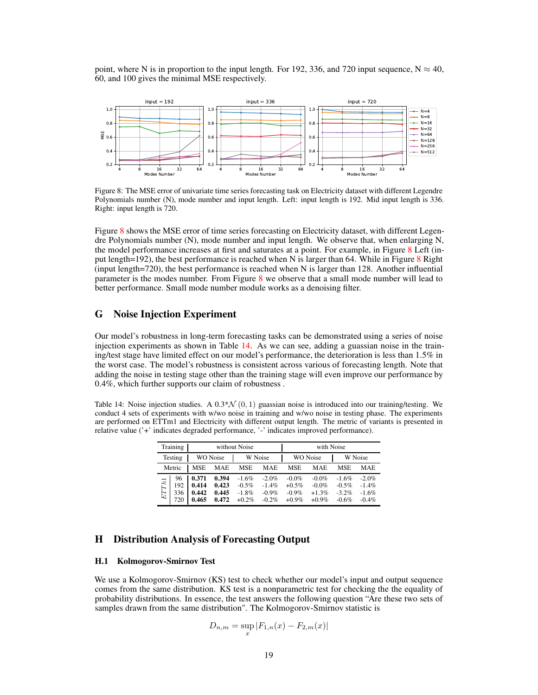point, where N is in proportion to the input length. For 192, 336, and 720 input sequence,  $N \approx 40$ , 60, and 100 gives the minimal MSE respectively.

<span id="page-18-2"></span>

Figure 8: The MSE error of univariate time series forecasting task on Electricity dataset with different Legendre Polynomials number (N), mode number and input length. Left: input length is 192. Mid input length is 336. Right: input length is 720.

Figure [8](#page-18-2) shows the MSE error of time series forecasting on Electricity dataset, with different Legendre Polynomials number (N), mode number and input length. We observe that, when enlarging N, the model performance increases at first and saturates at a point. For example, in Figure [8](#page-18-2) Left (in-put length=192), the best performance is reached when N is larger than 64. While in Figure [8](#page-18-2) Right (input length=720), the best performance is reached when N is larger than 128. Another influential parameter is the modes number. From Figure [8](#page-18-2) we observe that a small mode number will lead to better performance. Small mode number module works as a denoising filter.

# <span id="page-18-0"></span>G Noise Injection Experiment

Our model's robustness in long-term forecasting tasks can be demonstrated using a series of noise injection experiments as shown in Table [14.](#page-18-3) As we can see, adding a guassian noise in the training/test stage have limited effect on our model's performance, the deterioration is less than 1.5% in the worst case. The model's robustness is consistent across various of forecasting length. Note that adding the noise in testing stage other than the training stage will even improve our performance by 0.4%, which further supports our claim of robustness .

<span id="page-18-3"></span>Table 14: Noise injection studies. A  $0.3*\mathcal{N}(0, 1)$  guassian noise is introduced into our training/testing. We conduct 4 sets of experiments with w/wo noise in training and w/wo noise in testing phase. The experiments are performed on ETTm1 and Electricity with different output length. The metric of variants is presented in relative value ('+' indicates degraded performance, '-' indicates improved performance).

| Training |                         |                                  |                                  | without Noise                              |                                              |                                              |                                             |                                           |                                          |
|----------|-------------------------|----------------------------------|----------------------------------|--------------------------------------------|----------------------------------------------|----------------------------------------------|---------------------------------------------|-------------------------------------------|------------------------------------------|
| Testing  |                         | <b>WO</b> Noise                  |                                  | W Noise                                    |                                              |                                              | <b>WO</b> Noise                             | W Noise                                   |                                          |
| Metric   |                         | <b>MSE</b>                       | <b>MAE</b>                       | <b>MSE</b>                                 | <b>MAE</b>                                   | <b>MSE</b>                                   | <b>MAE</b>                                  | <b>MSE</b>                                | <b>MAE</b>                               |
| ETTh1    | 96<br>192<br>336<br>720 | 0.371<br>0.414<br>0.442<br>0.465 | 0.394<br>0.423<br>0.445<br>0.472 | $-1.6%$<br>$-0.5\%$<br>$-1.8%$<br>$+0.2\%$ | $-2.0\%$<br>$-1.4\%$<br>$-0.9\%$<br>$-0.2\%$ | $-0.0\%$<br>$+0.5\%$<br>$-0.9\%$<br>$+0.9\%$ | $-0.0\%$<br>$-0.0\%$<br>$+1.3%$<br>$+0.9\%$ | $-1.6%$<br>$-0.5%$<br>$-3.2\%$<br>$-0.6%$ | $-2.0%$<br>$-1.4%$<br>$-1.6%$<br>$-0.4%$ |

### <span id="page-18-1"></span>H Distribution Analysis of Forecasting Output

### H.1 Kolmogorov-Smirnov Test

We use a Kolmogorov-Smirnov (KS) test to check whether our model's input and output sequence comes from the same distribution. KS test is a nonparametric test for checking the the equality of probability distributions. In essence, the test answers the following question "Are these two sets of samples drawn from the same distribution". The Kolmogorov-Smirnov statistic is

$$
D_{n,m} = \sup_{x} |F_{1,n}(x) - F_{2,m}(x)|
$$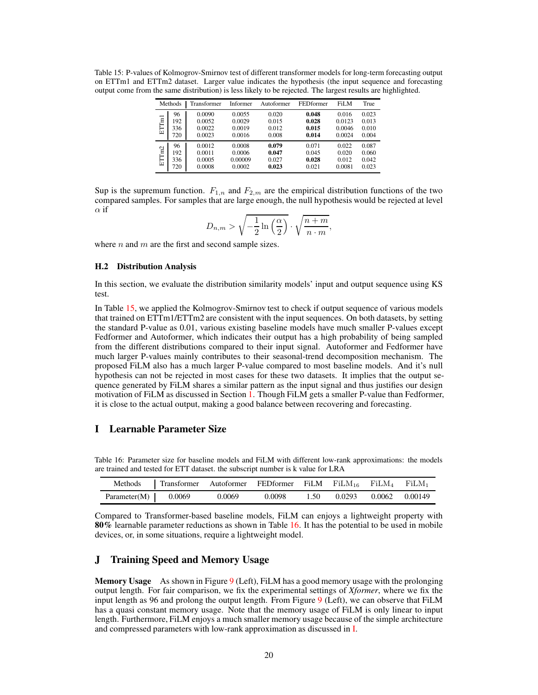<span id="page-19-2"></span>Table 15: P-values of Kolmogrov-Smirnov test of different transformer models for long-term forecasting output on ETTm1 and ETTm2 dataset. Larger value indicates the hypothesis (the input sequence and forecasting output come from the same distribution) is less likely to be rejected. The largest results are highlighted.

|       | Methods | Transformer | Informer | Autoformer | <b>FEDformer</b> | FiLM   | True  |
|-------|---------|-------------|----------|------------|------------------|--------|-------|
| ETTm1 | 96      | 0.0090      | 0.0055   | 0.020      | 0.048            | 0.016  | 0.023 |
|       | 192     | 0.0052      | 0.0029   | 0.015      | 0.028            | 0.0123 | 0.013 |
|       | 336     | 0.0022      | 0.0019   | 0.012      | 0.015            | 0.0046 | 0.010 |
|       | 720     | 0.0023      | 0.0016   | 0.008      | 0.014            | 0.0024 | 0.004 |
| ETTm2 | 96      | 0.0012      | 0.0008   | 0.079      | 0.071            | 0.022  | 0.087 |
|       | 192     | 0.0011      | 0.0006   | 0.047      | 0.045            | 0.020  | 0.060 |
|       | 336     | 0.0005      | 0.00009  | 0.027      | 0.028            | 0.012  | 0.042 |
|       | 720     | 0.0008      | 0.0002   | 0.023      | 0.021            | 0.0081 | 0.023 |

Sup is the supremum function.  $F_{1,n}$  and  $F_{2,m}$  are the empirical distribution functions of the two compared samples. For samples that are large enough, the null hypothesis would be rejected at level  $\alpha$  if

$$
D_{n,m} > \sqrt{-\frac{1}{2}\ln\left(\frac{\alpha}{2}\right)} \cdot \sqrt{\frac{n+m}{n\cdot m}},
$$

where  $n$  and  $m$  are the first and second sample sizes.

#### H.2 Distribution Analysis

In this section, we evaluate the distribution similarity models' input and output sequence using KS test.

In Table [15,](#page-19-2) we applied the Kolmogrov-Smirnov test to check if output sequence of various models that trained on ETTm1/ETTm2 are consistent with the input sequences. On both datasets, by setting the standard P-value as 0.01, various existing baseline models have much smaller P-values except Fedformer and Autoformer, which indicates their output has a high probability of being sampled from the different distributions compared to their input signal. Autoformer and Fedformer have much larger P-values mainly contributes to their seasonal-trend decomposition mechanism. The proposed FiLM also has a much larger P-value compared to most baseline models. And it's null hypothesis can not be rejected in most cases for these two datasets. It implies that the output sequence generated by FiLM shares a similar pattern as the input signal and thus justifies our design motivation of FiLM as discussed in Section [1.](#page-0-1) Though FiLM gets a smaller P-value than Fedformer, it is close to the actual output, making a good balance between recovering and forecasting.

# <span id="page-19-3"></span><span id="page-19-0"></span>I Learnable Parameter Size

Table 16: Parameter size for baseline models and FiLM with different low-rank approximations: the models are trained and tested for ETT dataset. the subscript number is k value for LRA

| Methods                | <b>Transformer</b> Autoformer FEDformer FiLM FiLM <sub>16</sub> FiLM <sub>4</sub> FiLM <sub>1</sub> |        |        |      |        |                |
|------------------------|-----------------------------------------------------------------------------------------------------|--------|--------|------|--------|----------------|
| Parameter $(M)$ 0.0069 |                                                                                                     | 0.0069 | 0.0098 | 1.50 | 0.0293 | 0.0062 0.00149 |

Compared to Transformer-based baseline models, FiLM can enjoys a lightweight property with 80% learnable parameter reductions as shown in Table [16.](#page-19-3) It has the potential to be used in mobile devices, or, in some situations, require a lightweight model.

### <span id="page-19-1"></span>J Training Speed and Memory Usage

Memory Usage As shown in Figure [9](#page-20-0) (Left), FiLM has a good memory usage with the prolonging output length. For fair comparison, we fix the experimental settings of *Xformer*, where we fix the input length as 96 and prolong the output length. From Figure [9](#page-20-0) (Left), we can observe that FiLM has a quasi constant memory usage. Note that the memory usage of FiLM is only linear to input length. Furthermore, FiLM enjoys a much smaller memory usage because of the simple architecture and compressed parameters with low-rank approximation as discussed in [I.](#page-19-0)